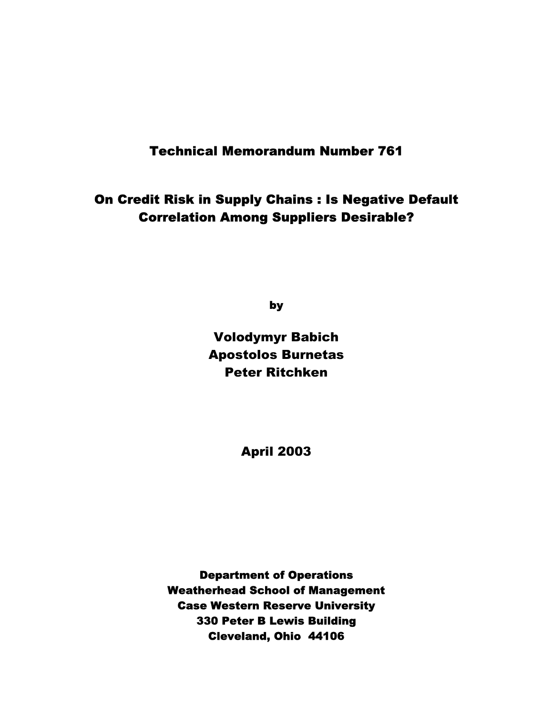# Technical Memorandum Number 761

# On Credit Risk in Supply Chains : Is Negative Default Correlation Among Suppliers Desirable?

by

Volodymyr Babich Apostolos Burnetas Peter Ritchken

April 2003

Department of Operations Weatherhead School of Management Case Western Reserve University 330 Peter B Lewis Building Cleveland, Ohio 44106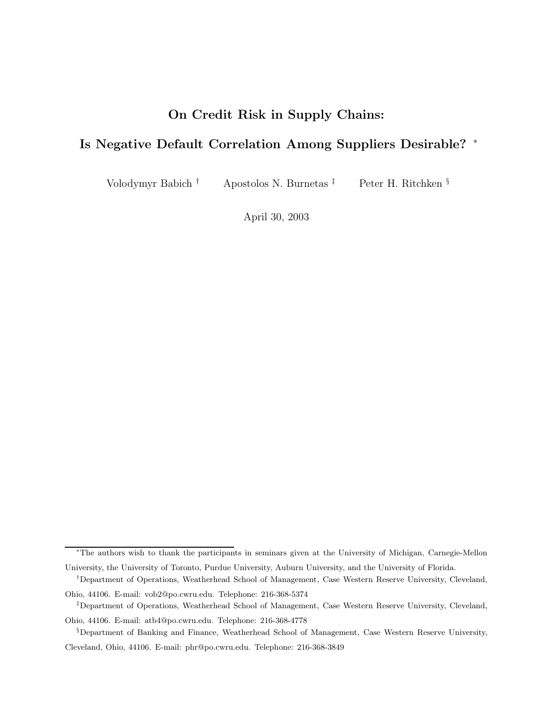# **On Credit Risk in Supply Chains:**

# **Is Negative Default Correlation Among Suppliers Desirable?** <sup>∗</sup>

Volodymyr Babich † Apostolos N. Burnetas ‡ Peter H. Ritchken §

April 30, 2003

<sup>∗</sup>The authors wish to thank the participants in seminars given at the University of Michigan, Carnegie-Mellon University, the University of Toronto, Purdue University, Auburn University, and the University of Florida.

<sup>†</sup>Department of Operations, Weatherhead School of Management, Case Western Reserve University, Cleveland,

Ohio, 44106. E-mail: vob2@po.cwru.edu. Telephone: 216-368-5374 ‡Department of Operations, Weatherhead School of Management, Case Western Reserve University, Cleveland,

Ohio, 44106. E-mail: atb4@po.cwru.edu. Telephone: 216-368-4778

<sup>§</sup>Department of Banking and Finance, Weatherhead School of Management, Case Western Reserve University,

Cleveland, Ohio, 44106. E-mail: phr@po.cwru.edu. Telephone: 216-368-3849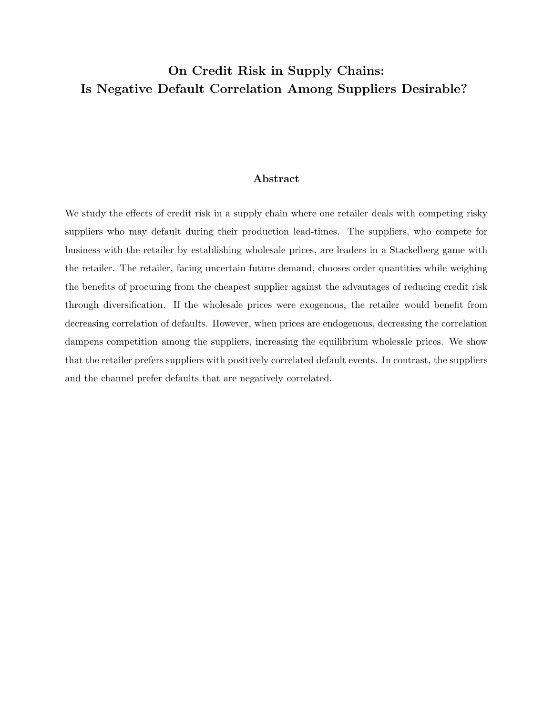# **On Credit Risk in Supply Chains: Is Negative Default Correlation Among Suppliers Desirable?**

## **Abstract**

We study the effects of credit risk in a supply chain where one retailer deals with competing risky suppliers who may default during their production lead-times. The suppliers, who compete for business with the retailer by establishing wholesale prices, are leaders in a Stackelberg game with the retailer. The retailer, facing uncertain future demand, chooses order quantities while weighing the benefits of procuring from the cheapest supplier against the advantages of reducing credit risk through diversification. If the wholesale prices were exogenous, the retailer would benefit from decreasing correlation of defaults. However, when prices are endogenous, decreasing the correlation dampens competition among the suppliers, increasing the equilibrium wholesale prices. We show that the retailer prefers suppliers with positively correlated default events. In contrast, the suppliers and the channel prefer defaults that are negatively correlated.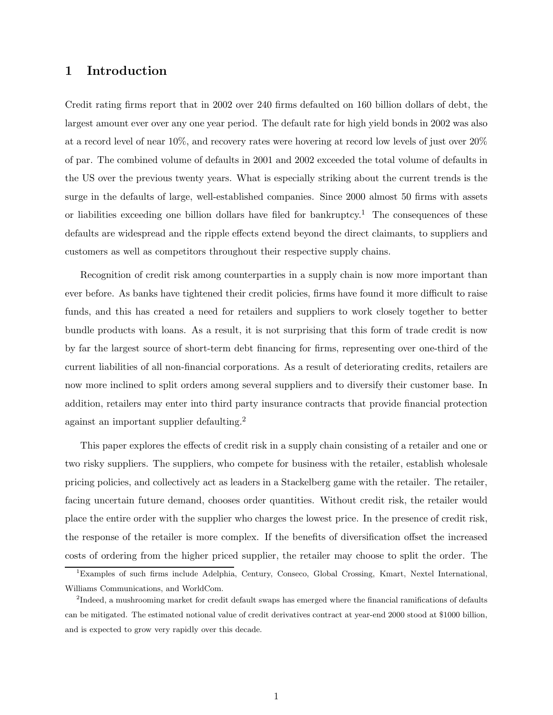# **1 Introduction**

Credit rating firms report that in 2002 over 240 firms defaulted on 160 billion dollars of debt, the largest amount ever over any one year period. The default rate for high yield bonds in 2002 was also at a record level of near 10%, and recovery rates were hovering at record low levels of just over 20% of par. The combined volume of defaults in 2001 and 2002 exceeded the total volume of defaults in the US over the previous twenty years. What is especially striking about the current trends is the surge in the defaults of large, well-established companies. Since 2000 almost 50 firms with assets or liabilities exceeding one billion dollars have filed for bankruptcy.<sup>1</sup> The consequences of these defaults are widespread and the ripple effects extend beyond the direct claimants, to suppliers and customers as well as competitors throughout their respective supply chains.

Recognition of credit risk among counterparties in a supply chain is now more important than ever before. As banks have tightened their credit policies, firms have found it more difficult to raise funds, and this has created a need for retailers and suppliers to work closely together to better bundle products with loans. As a result, it is not surprising that this form of trade credit is now by far the largest source of short-term debt financing for firms, representing over one-third of the current liabilities of all non-financial corporations. As a result of deteriorating credits, retailers are now more inclined to split orders among several suppliers and to diversify their customer base. In addition, retailers may enter into third party insurance contracts that provide financial protection against an important supplier defaulting.<sup>2</sup>

This paper explores the effects of credit risk in a supply chain consisting of a retailer and one or two risky suppliers. The suppliers, who compete for business with the retailer, establish wholesale pricing policies, and collectively act as leaders in a Stackelberg game with the retailer. The retailer, facing uncertain future demand, chooses order quantities. Without credit risk, the retailer would place the entire order with the supplier who charges the lowest price. In the presence of credit risk, the response of the retailer is more complex. If the benefits of diversification offset the increased costs of ordering from the higher priced supplier, the retailer may choose to split the order. The

<sup>1</sup>Examples of such firms include Adelphia, Century, Conseco, Global Crossing, Kmart, Nextel International, Williams Communications, and WorldCom.

<sup>&</sup>lt;sup>2</sup>Indeed, a mushrooming market for credit default swaps has emerged where the financial ramifications of defaults can be mitigated. The estimated notional value of credit derivatives contract at year-end 2000 stood at \$1000 billion, and is expected to grow very rapidly over this decade.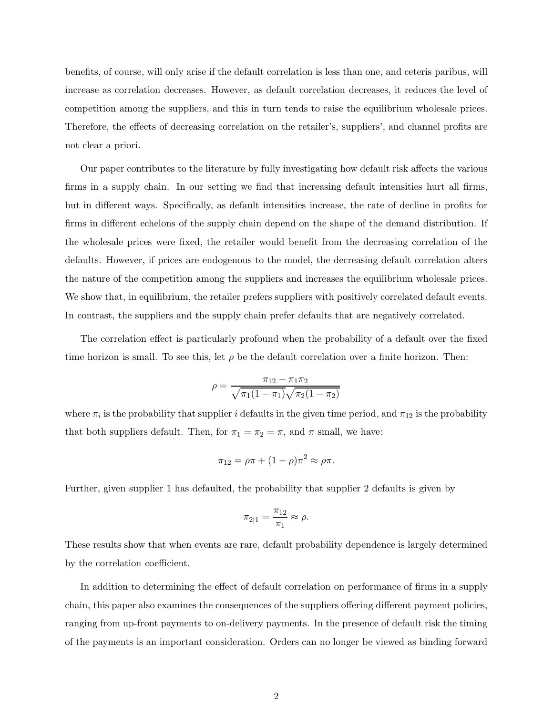benefits, of course, will only arise if the default correlation is less than one, and ceteris paribus, will increase as correlation decreases. However, as default correlation decreases, it reduces the level of competition among the suppliers, and this in turn tends to raise the equilibrium wholesale prices. Therefore, the effects of decreasing correlation on the retailer's, suppliers', and channel profits are not clear a priori.

Our paper contributes to the literature by fully investigating how default risk affects the various firms in a supply chain. In our setting we find that increasing default intensities hurt all firms, but in different ways. Specifically, as default intensities increase, the rate of decline in profits for firms in different echelons of the supply chain depend on the shape of the demand distribution. If the wholesale prices were fixed, the retailer would benefit from the decreasing correlation of the defaults. However, if prices are endogenous to the model, the decreasing default correlation alters the nature of the competition among the suppliers and increases the equilibrium wholesale prices. We show that, in equilibrium, the retailer prefers suppliers with positively correlated default events. In contrast, the suppliers and the supply chain prefer defaults that are negatively correlated.

The correlation effect is particularly profound when the probability of a default over the fixed time horizon is small. To see this, let  $\rho$  be the default correlation over a finite horizon. Then:

$$
\rho = \frac{\pi_{12} - \pi_1 \pi_2}{\sqrt{\pi_1 (1 - \pi_1)} \sqrt{\pi_2 (1 - \pi_2)}}
$$

where  $\pi_i$  is the probability that supplier *i* defaults in the given time period, and  $\pi_{12}$  is the probability that both suppliers default. Then, for  $\pi_1 = \pi_2 = \pi$ , and  $\pi$  small, we have:

$$
\pi_{12} = \rho \pi + (1 - \rho) \pi^2 \approx \rho \pi.
$$

Further, given supplier 1 has defaulted, the probability that supplier 2 defaults is given by

$$
\pi_{2|1}=\frac{\pi_{12}}{\pi_1}\approx \rho.
$$

These results show that when events are rare, default probability dependence is largely determined by the correlation coefficient.

In addition to determining the effect of default correlation on performance of firms in a supply chain, this paper also examines the consequences of the suppliers offering different payment policies, ranging from up-front payments to on-delivery payments. In the presence of default risk the timing of the payments is an important consideration. Orders can no longer be viewed as binding forward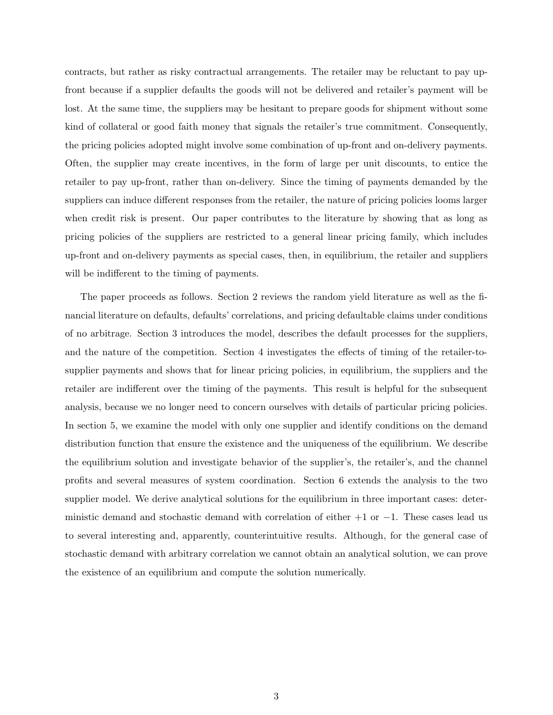contracts, but rather as risky contractual arrangements. The retailer may be reluctant to pay upfront because if a supplier defaults the goods will not be delivered and retailer's payment will be lost. At the same time, the suppliers may be hesitant to prepare goods for shipment without some kind of collateral or good faith money that signals the retailer's true commitment. Consequently, the pricing policies adopted might involve some combination of up-front and on-delivery payments. Often, the supplier may create incentives, in the form of large per unit discounts, to entice the retailer to pay up-front, rather than on-delivery. Since the timing of payments demanded by the suppliers can induce different responses from the retailer, the nature of pricing policies looms larger when credit risk is present. Our paper contributes to the literature by showing that as long as pricing policies of the suppliers are restricted to a general linear pricing family, which includes up-front and on-delivery payments as special cases, then, in equilibrium, the retailer and suppliers will be indifferent to the timing of payments.

The paper proceeds as follows. Section 2 reviews the random yield literature as well as the financial literature on defaults, defaults' correlations, and pricing defaultable claims under conditions of no arbitrage. Section 3 introduces the model, describes the default processes for the suppliers, and the nature of the competition. Section 4 investigates the effects of timing of the retailer-tosupplier payments and shows that for linear pricing policies, in equilibrium, the suppliers and the retailer are indifferent over the timing of the payments. This result is helpful for the subsequent analysis, because we no longer need to concern ourselves with details of particular pricing policies. In section 5, we examine the model with only one supplier and identify conditions on the demand distribution function that ensure the existence and the uniqueness of the equilibrium. We describe the equilibrium solution and investigate behavior of the supplier's, the retailer's, and the channel profits and several measures of system coordination. Section 6 extends the analysis to the two supplier model. We derive analytical solutions for the equilibrium in three important cases: deterministic demand and stochastic demand with correlation of either  $+1$  or  $-1$ . These cases lead us to several interesting and, apparently, counterintuitive results. Although, for the general case of stochastic demand with arbitrary correlation we cannot obtain an analytical solution, we can prove the existence of an equilibrium and compute the solution numerically.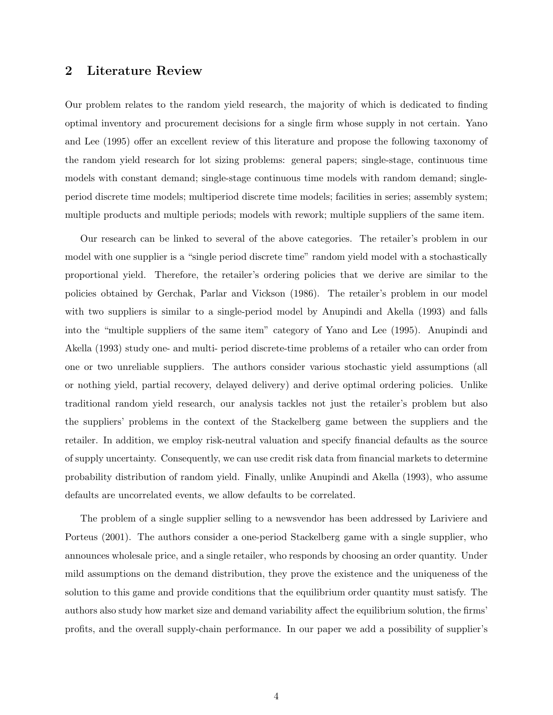## **2 Literature Review**

Our problem relates to the random yield research, the majority of which is dedicated to finding optimal inventory and procurement decisions for a single firm whose supply in not certain. Yano and Lee (1995) offer an excellent review of this literature and propose the following taxonomy of the random yield research for lot sizing problems: general papers; single-stage, continuous time models with constant demand; single-stage continuous time models with random demand; singleperiod discrete time models; multiperiod discrete time models; facilities in series; assembly system; multiple products and multiple periods; models with rework; multiple suppliers of the same item.

Our research can be linked to several of the above categories. The retailer's problem in our model with one supplier is a "single period discrete time" random yield model with a stochastically proportional yield. Therefore, the retailer's ordering policies that we derive are similar to the policies obtained by Gerchak, Parlar and Vickson (1986). The retailer's problem in our model with two suppliers is similar to a single-period model by Anupindi and Akella (1993) and falls into the "multiple suppliers of the same item" category of Yano and Lee (1995). Anupindi and Akella (1993) study one- and multi- period discrete-time problems of a retailer who can order from one or two unreliable suppliers. The authors consider various stochastic yield assumptions (all or nothing yield, partial recovery, delayed delivery) and derive optimal ordering policies. Unlike traditional random yield research, our analysis tackles not just the retailer's problem but also the suppliers' problems in the context of the Stackelberg game between the suppliers and the retailer. In addition, we employ risk-neutral valuation and specify financial defaults as the source of supply uncertainty. Consequently, we can use credit risk data from financial markets to determine probability distribution of random yield. Finally, unlike Anupindi and Akella (1993), who assume defaults are uncorrelated events, we allow defaults to be correlated.

The problem of a single supplier selling to a newsvendor has been addressed by Lariviere and Porteus (2001). The authors consider a one-period Stackelberg game with a single supplier, who announces wholesale price, and a single retailer, who responds by choosing an order quantity. Under mild assumptions on the demand distribution, they prove the existence and the uniqueness of the solution to this game and provide conditions that the equilibrium order quantity must satisfy. The authors also study how market size and demand variability affect the equilibrium solution, the firms' profits, and the overall supply-chain performance. In our paper we add a possibility of supplier's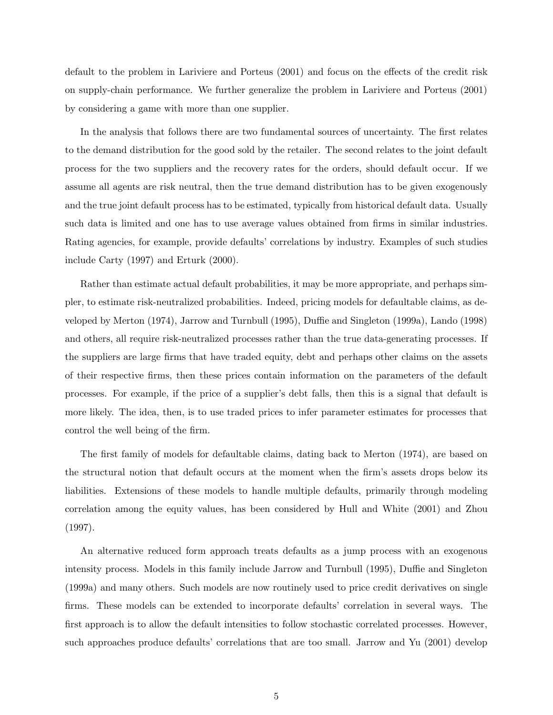default to the problem in Lariviere and Porteus (2001) and focus on the effects of the credit risk on supply-chain performance. We further generalize the problem in Lariviere and Porteus (2001) by considering a game with more than one supplier.

In the analysis that follows there are two fundamental sources of uncertainty. The first relates to the demand distribution for the good sold by the retailer. The second relates to the joint default process for the two suppliers and the recovery rates for the orders, should default occur. If we assume all agents are risk neutral, then the true demand distribution has to be given exogenously and the true joint default process has to be estimated, typically from historical default data. Usually such data is limited and one has to use average values obtained from firms in similar industries. Rating agencies, for example, provide defaults' correlations by industry. Examples of such studies include Carty (1997) and Erturk (2000).

Rather than estimate actual default probabilities, it may be more appropriate, and perhaps simpler, to estimate risk-neutralized probabilities. Indeed, pricing models for defaultable claims, as developed by Merton (1974), Jarrow and Turnbull (1995), Duffie and Singleton (1999a), Lando (1998) and others, all require risk-neutralized processes rather than the true data-generating processes. If the suppliers are large firms that have traded equity, debt and perhaps other claims on the assets of their respective firms, then these prices contain information on the parameters of the default processes. For example, if the price of a supplier's debt falls, then this is a signal that default is more likely. The idea, then, is to use traded prices to infer parameter estimates for processes that control the well being of the firm.

The first family of models for defaultable claims, dating back to Merton (1974), are based on the structural notion that default occurs at the moment when the firm's assets drops below its liabilities. Extensions of these models to handle multiple defaults, primarily through modeling correlation among the equity values, has been considered by Hull and White (2001) and Zhou (1997).

An alternative reduced form approach treats defaults as a jump process with an exogenous intensity process. Models in this family include Jarrow and Turnbull (1995), Duffie and Singleton (1999a) and many others. Such models are now routinely used to price credit derivatives on single firms. These models can be extended to incorporate defaults' correlation in several ways. The first approach is to allow the default intensities to follow stochastic correlated processes. However, such approaches produce defaults' correlations that are too small. Jarrow and Yu (2001) develop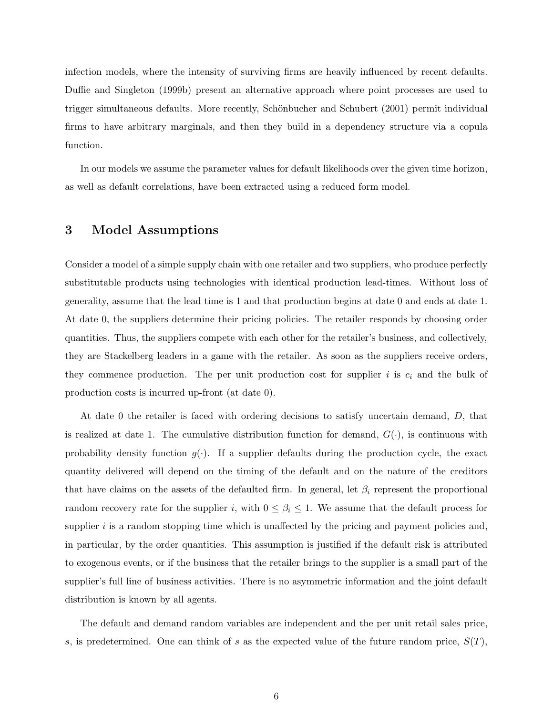infection models, where the intensity of surviving firms are heavily influenced by recent defaults. Duffie and Singleton (1999b) present an alternative approach where point processes are used to trigger simultaneous defaults. More recently, Schönbucher and Schubert (2001) permit individual firms to have arbitrary marginals, and then they build in a dependency structure via a copula function.

In our models we assume the parameter values for default likelihoods over the given time horizon, as well as default correlations, have been extracted using a reduced form model.

# **3 Model Assumptions**

Consider a model of a simple supply chain with one retailer and two suppliers, who produce perfectly substitutable products using technologies with identical production lead-times. Without loss of generality, assume that the lead time is 1 and that production begins at date 0 and ends at date 1. At date 0, the suppliers determine their pricing policies. The retailer responds by choosing order quantities. Thus, the suppliers compete with each other for the retailer's business, and collectively, they are Stackelberg leaders in a game with the retailer. As soon as the suppliers receive orders, they commence production. The per unit production cost for supplier  $i$  is  $c_i$  and the bulk of production costs is incurred up-front (at date 0).

At date 0 the retailer is faced with ordering decisions to satisfy uncertain demand, *D*, that is realized at date 1. The cumulative distribution function for demand,  $G(\cdot)$ , is continuous with probability density function  $g(\cdot)$ . If a supplier defaults during the production cycle, the exact quantity delivered will depend on the timing of the default and on the nature of the creditors that have claims on the assets of the defaulted firm. In general, let  $\beta_i$  represent the proportional random recovery rate for the supplier *i*, with  $0 \leq \beta_i \leq 1$ . We assume that the default process for supplier  $i$  is a random stopping time which is unaffected by the pricing and payment policies and, in particular, by the order quantities. This assumption is justified if the default risk is attributed to exogenous events, or if the business that the retailer brings to the supplier is a small part of the supplier's full line of business activities. There is no asymmetric information and the joint default distribution is known by all agents.

The default and demand random variables are independent and the per unit retail sales price, *s*, is predetermined. One can think of *s* as the expected value of the future random price,  $S(T)$ ,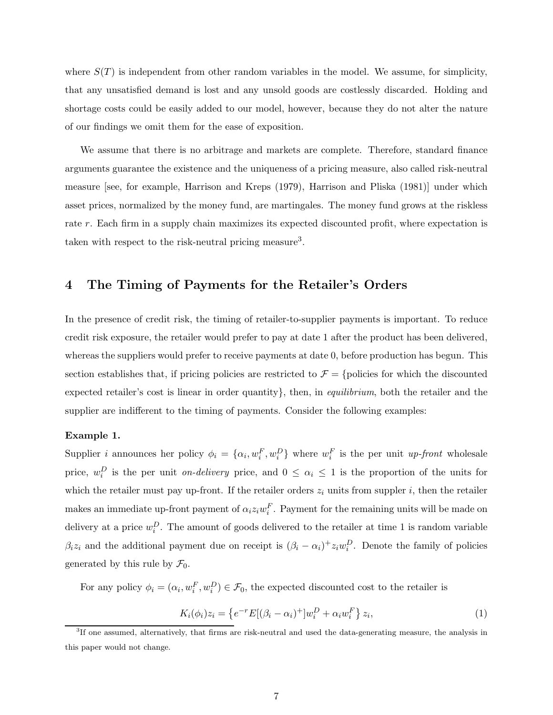where  $S(T)$  is independent from other random variables in the model. We assume, for simplicity, that any unsatisfied demand is lost and any unsold goods are costlessly discarded. Holding and shortage costs could be easily added to our model, however, because they do not alter the nature of our findings we omit them for the ease of exposition.

We assume that there is no arbitrage and markets are complete. Therefore, standard finance arguments guarantee the existence and the uniqueness of a pricing measure, also called risk-neutral measure [see, for example, Harrison and Kreps (1979), Harrison and Pliska (1981)] under which asset prices, normalized by the money fund, are martingales. The money fund grows at the riskless rate *r*. Each firm in a supply chain maximizes its expected discounted profit, where expectation is taken with respect to the risk-neutral pricing measure<sup>3</sup>.

## **4 The Timing of Payments for the Retailer's Orders**

In the presence of credit risk, the timing of retailer-to-supplier payments is important. To reduce credit risk exposure, the retailer would prefer to pay at date 1 after the product has been delivered, whereas the suppliers would prefer to receive payments at date 0, before production has begun. This section establishes that, if pricing policies are restricted to  $\mathcal{F} = \{$  policies for which the discounted expected retailer's cost is linear in order quantity}, then, in *equilibrium*, both the retailer and the supplier are indifferent to the timing of payments. Consider the following examples:

### **Example 1.**

Supplier *i* announces her policy  $\phi_i = {\alpha_i, w_i^F, w_i^D}$  where  $w_i^F$  is the per unit *up-front* wholesale price,  $w_i^D$  is the per unit *on-delivery* price, and  $0 \leq \alpha_i \leq 1$  is the proportion of the units for which the retailer must pay up-front. If the retailer orders  $z_i$  units from suppler  $i$ , then the retailer makes an immediate up-front payment of  $\alpha_i z_i w_i^F$ . Payment for the remaining units will be made on delivery at a price  $w_i^D$ . The amount of goods delivered to the retailer at time 1 is random variable *β*<sub>i</sub>*z*<sub>i</sub> and the additional payment due on receipt is  $(\beta_i - \alpha_i)^+ z_i w_i^D$ . Denote the family of policies generated by this rule by  $\mathcal{F}_0$ .

For any policy  $\phi_i = (\alpha_i, w_i^F, w_i^D) \in \mathcal{F}_0$ , the expected discounted cost to the retailer is

$$
K_i(\phi_i)z_i = \left\{e^{-r}E[(\beta_i - \alpha_i)^+]w_i^D + \alpha_i w_i^F\right\}z_i,
$$
\n(1)

<sup>&</sup>lt;sup>3</sup>If one assumed, alternatively, that firms are risk-neutral and used the data-generating measure, the analysis in this paper would not change.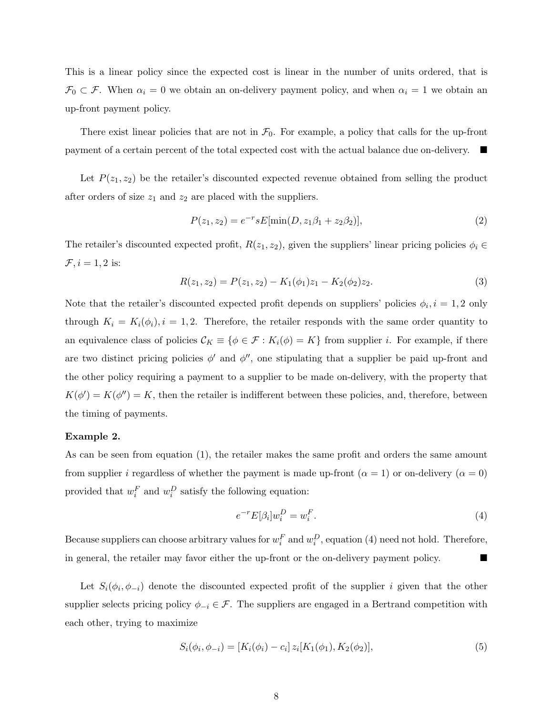This is a linear policy since the expected cost is linear in the number of units ordered, that is  $\mathcal{F}_0 \subset \mathcal{F}$ . When  $\alpha_i = 0$  we obtain an on-delivery payment policy, and when  $\alpha_i = 1$  we obtain an up-front payment policy.

There exist linear policies that are not in  $\mathcal{F}_0$ . For example, a policy that calls for the up-front payment of a certain percent of the total expected cost with the actual balance due on-delivery.

Let  $P(z_1, z_2)$  be the retailer's discounted expected revenue obtained from selling the product after orders of size  $z_1$  and  $z_2$  are placed with the suppliers.

$$
P(z_1, z_2) = e^{-r} s E[\min(D, z_1 \beta_1 + z_2 \beta_2)], \qquad (2)
$$

The retailer's discounted expected profit,  $R(z_1, z_2)$ , given the suppliers' linear pricing policies  $\phi_i \in$  $\mathcal{F}, i = 1, 2$  is:

$$
R(z_1, z_2) = P(z_1, z_2) - K_1(\phi_1)z_1 - K_2(\phi_2)z_2.
$$
\n(3)

Note that the retailer's discounted expected profit depends on suppliers' policies  $\phi_i$ ,  $i = 1, 2$  only through  $K_i = K_i(\phi_i)$ ,  $i = 1, 2$ . Therefore, the retailer responds with the same order quantity to an equivalence class of policies  $\mathcal{C}_K \equiv \{\phi \in \mathcal{F} : K_i(\phi) = K\}$  from supplier *i*. For example, if there are two distinct pricing policies  $\phi'$  and  $\phi''$ , one stipulating that a supplier be paid up-front and the other policy requiring a payment to a supplier to be made on-delivery, with the property that  $K(\phi') = K(\phi'') = K$ , then the retailer is indifferent between these policies, and, therefore, between the timing of payments.

## **Example 2.**

As can be seen from equation (1), the retailer makes the same profit and orders the same amount from supplier *i* regardless of whether the payment is made up-front ( $\alpha = 1$ ) or on-delivery ( $\alpha = 0$ ) provided that  $w_i^F$  and  $w_i^D$  satisfy the following equation:

$$
e^{-r}E[\beta_i]w_i^D = w_i^F.
$$
\n<sup>(4)</sup>

Because suppliers can choose arbitrary values for  $w_i^F$  and  $w_i^D$ , equation (4) need not hold. Therefore, in general, the retailer may favor either the up-front or the on-delivery payment policy.

Let  $S_i(\phi_i, \phi_{-i})$  denote the discounted expected profit of the supplier *i* given that the other supplier selects pricing policy  $\phi_{-i} \in \mathcal{F}$ . The suppliers are engaged in a Bertrand competition with each other, trying to maximize

$$
S_i(\phi_i, \phi_{-i}) = [K_i(\phi_i) - c_i] z_i [K_1(\phi_1), K_2(\phi_2)],
$$
\n(5)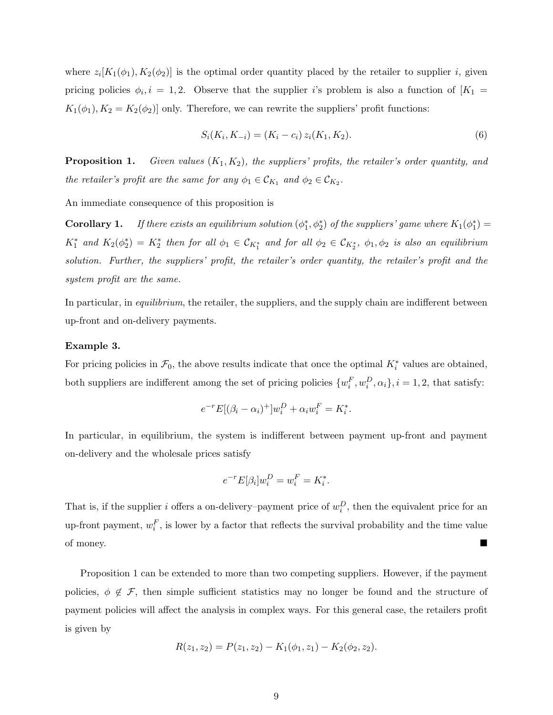where  $z_i[K_1(\phi_1), K_2(\phi_2)]$  is the optimal order quantity placed by the retailer to supplier *i*, given pricing policies  $\phi_i, i = 1, 2$ . Observe that the supplier *i*'s problem is also a function of  $[K_1 =$  $K_1(\phi_1), K_2 = K_2(\phi_2)$ ] only. Therefore, we can rewrite the suppliers' profit functions:

$$
S_i(K_i, K_{-i}) = (K_i - c_i) z_i(K_1, K_2).
$$
\n(6)

**Proposition 1.** *Given values* (*K*1*, K*2)*, the suppliers' profits, the retailer's order quantity, and the retailer's profit are the same for any*  $\phi_1 \in C_{K_1}$  *and*  $\phi_2 \in C_{K_2}$ *.* 

An immediate consequence of this proposition is

**Corollary 1.** If there exists an equilibrium solution  $(\phi_1^*, \phi_2^*)$  of the suppliers' game where  $K_1(\phi_1^*)$  =  $K_1^*$  *and*  $K_2(\phi_2^*) = K_2^*$  *then for all*  $\phi_1 \in C_{K_1^*}$  *and for all*  $\phi_2 \in C_{K_2^*}$ ,  $\phi_1, \phi_2$  *is also an equilibrium solution. Further, the suppliers' profit, the retailer's order quantity, the retailer's profit and the system profit are the same.*

In particular, in *equilibrium*, the retailer, the suppliers, and the supply chain are indifferent between up-front and on-delivery payments.

#### **Example 3.**

For pricing policies in  $\mathcal{F}_0$ , the above results indicate that once the optimal  $K_i^*$  values are obtained, both suppliers are indifferent among the set of pricing policies  $\{w_i^F, w_i^D, \alpha_i\}, i = 1, 2$ , that satisfy:

$$
e^{-r}E[(\beta_i - \alpha_i)^+]w_i^D + \alpha_i w_i^F = K_i^*.
$$

In particular, in equilibrium, the system is indifferent between payment up-front and payment on-delivery and the wholesale prices satisfy

$$
e^{-r}E[\beta_i]w_i^D = w_i^F = K_i^*.
$$

That is, if the supplier *i* offers a on-delivery–payment price of  $w_i^D$ , then the equivalent price for an up-front payment,  $w_i^F$ , is lower by a factor that reflects the survival probability and the time value of money.

Proposition 1 can be extended to more than two competing suppliers. However, if the payment policies,  $\phi \notin \mathcal{F}$ , then simple sufficient statistics may no longer be found and the structure of payment policies will affect the analysis in complex ways. For this general case, the retailers profit is given by

$$
R(z_1, z_2) = P(z_1, z_2) - K_1(\phi_1, z_1) - K_2(\phi_2, z_2).
$$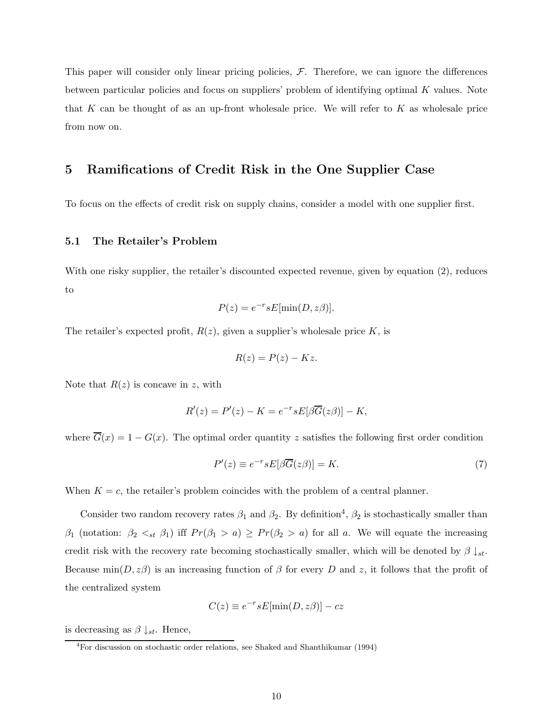This paper will consider only linear pricing policies,  $F$ . Therefore, we can ignore the differences between particular policies and focus on suppliers' problem of identifying optimal *K* values. Note that *K* can be thought of as an up-front wholesale price. We will refer to *K* as wholesale price from now on.

## **5 Ramifications of Credit Risk in the One Supplier Case**

To focus on the effects of credit risk on supply chains, consider a model with one supplier first.

## **5.1 The Retailer's Problem**

With one risky supplier, the retailer's discounted expected revenue, given by equation (2), reduces to

$$
P(z) = e^{-r} s E[\min(D, z\beta)].
$$

The retailer's expected profit,  $R(z)$ , given a supplier's wholesale price  $K$ , is

$$
R(z) = P(z) - Kz.
$$

Note that *R*(*z*) is concave in *z*, with

$$
R'(z) = P'(z) - K = e^{-r} s E[\beta \overline{G}(z\beta)] - K,
$$

where  $\overline{G}(x) = 1 - G(x)$ . The optimal order quantity *z* satisfies the following first order condition

$$
P'(z) \equiv e^{-r} s E[\beta \overline{G}(z\beta)] = K.
$$
\n(7)

When  $K = c$ , the retailer's problem coincides with the problem of a central planner.

Consider two random recovery rates  $\beta_1$  and  $\beta_2$ . By definition<sup>4</sup>,  $\beta_2$  is stochastically smaller than *β*<sub>1</sub> (notation: *β*<sub>2</sub>  $\lt_{st}$  *β*<sub>1</sub>) iff  $Pr(\beta_1 > a) \geq Pr(\beta_2 > a)$  for all *a*. We will equate the increasing credit risk with the recovery rate becoming stochastically smaller, which will be denoted by  $\beta \downarrow_{st}$ . Because  $\min(D, z\beta)$  is an increasing function of  $\beta$  for every *D* and *z*, it follows that the profit of the centralized system

$$
C(z) \equiv e^{-r} s E[\min(D, z\beta)] - cz
$$

is decreasing as  $\beta \downarrow_{st}$ . Hence,

<sup>4</sup>For discussion on stochastic order relations, see Shaked and Shanthikumar (1994)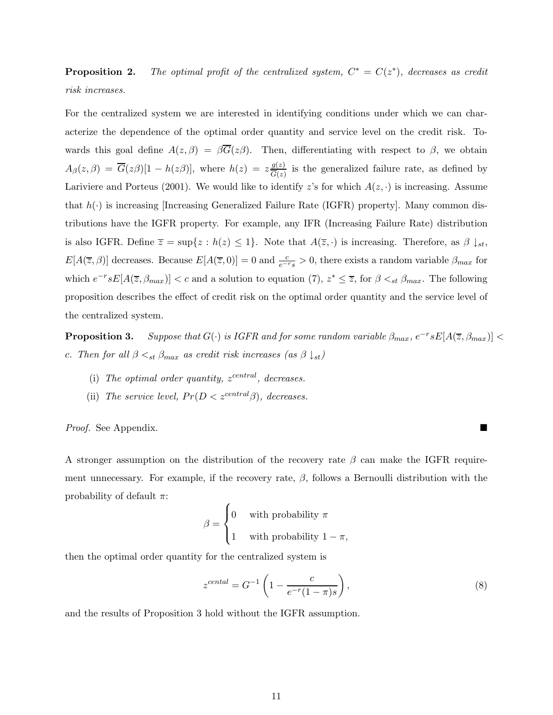**Proposition 2.** *The optimal profit of the centralized system,*  $C^* = C(z^*)$ *, decreases as credit risk increases.*

For the centralized system we are interested in identifying conditions under which we can characterize the dependence of the optimal order quantity and service level on the credit risk. Towards this goal define  $A(z, \beta) = \beta G(z\beta)$ . Then, differentiating with respect to  $\beta$ , we obtain  $A_{\beta}(z,\beta) = \overline{G}(z\beta)[1-h(z\beta)],$  where  $h(z) = z\frac{g(z)}{\overline{G}(z)}$  is the generalized failure rate, as defined by Lariviere and Porteus (2001). We would like to identify  $z$ 's for which  $A(z, \cdot)$  is increasing. Assume that  $h(\cdot)$  is increasing [Increasing Generalized Failure Rate (IGFR) property]. Many common distributions have the IGFR property. For example, any IFR (Increasing Failure Rate) distribution is also IGFR. Define  $\overline{z} = \sup\{z : h(z) \leq 1\}$ . Note that  $A(\overline{z}, \cdot)$  is increasing. Therefore, as  $\beta \downarrow_{st}$ ,  $E[A(\overline{z}, \beta)]$  decreases. Because  $E[A(\overline{z}, 0)] = 0$  and  $\frac{c}{e^{-r}s} > 0$ , there exists a random variable  $\beta_{max}$  for which  $e^{-r} s E[A(\overline{z}, \beta_{max})] < c$  and a solution to equation (7),  $z^* \leq \overline{z}$ , for  $\beta <_{st} \beta_{max}$ . The following proposition describes the effect of credit risk on the optimal order quantity and the service level of the centralized system.

**Proposition 3.** *Suppose that*  $G(\cdot)$  *is IGFR and for some random variable*  $\beta_{max}$ ,  $e^{-r} s E[A(\overline{z}, \beta_{max})]$  < *c. Then for all*  $\beta \leq_{st} \beta_{max}$  *as credit risk increases (as*  $\beta \downarrow_{st}$ )

- (i) The optimal order quantity,  $z^{central}$ , decreases.
- (ii) *The service level,*  $Pr(D < z^{central} \beta)$ *, decreases.*

*Proof.* See Appendix.

A stronger assumption on the distribution of the recovery rate *β* can make the IGFR requirement unnecessary. For example, if the recovery rate,  $\beta$ , follows a Bernoulli distribution with the probability of default *π*:

$$
\beta = \begin{cases} 0 & \text{with probability } \pi \\ 1 & \text{with probability } 1 - \pi, \end{cases}
$$

then the optimal order quantity for the centralized system is

$$
z^{central} = G^{-1} \left( 1 - \frac{c}{e^{-r}(1-\pi)s} \right),
$$
\n(8)

and the results of Proposition 3 hold without the IGFR assumption.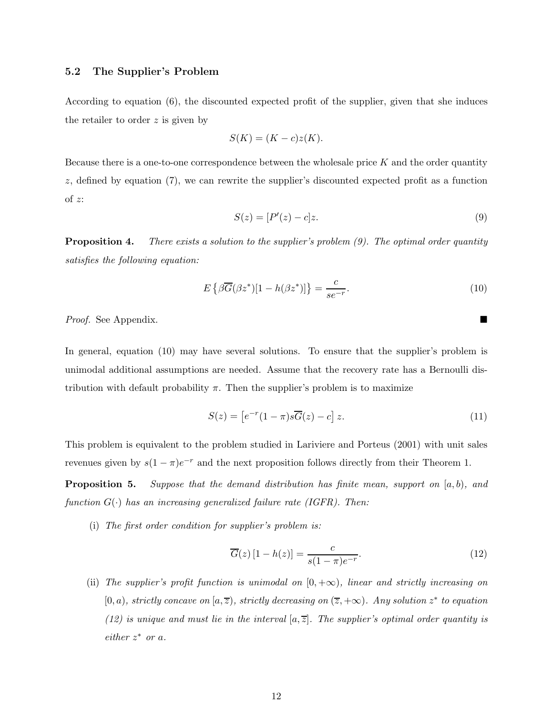## **5.2 The Supplier's Problem**

According to equation (6), the discounted expected profit of the supplier, given that she induces the retailer to order *z* is given by

$$
S(K) = (K - c)z(K).
$$

Because there is a one-to-one correspondence between the wholesale price *K* and the order quantity *z*, defined by equation (7), we can rewrite the supplier's discounted expected profit as a function of *z*:

$$
S(z) = [P'(z) - c]z.
$$
\n
$$
(9)
$$

**Proposition 4.** *There exists a solution to the supplier's problem (9). The optimal order quantity satisfies the following equation:*

$$
E\left\{\beta\overline{G}(\beta z^*)[1-h(\beta z^*)]\right\} = \frac{c}{se^{-r}}.\tag{10}
$$

*Proof.* See Appendix.

In general, equation (10) may have several solutions. To ensure that the supplier's problem is unimodal additional assumptions are needed. Assume that the recovery rate has a Bernoulli distribution with default probability  $\pi$ . Then the supplier's problem is to maximize

$$
S(z) = \left[e^{-r}(1-\pi)s\overline{G}(z) - c\right]z.
$$
\n(11)

This problem is equivalent to the problem studied in Lariviere and Porteus (2001) with unit sales revenues given by  $s(1 - \pi)e^{-r}$  and the next proposition follows directly from their Theorem 1.

**Proposition 5.** *Suppose that the demand distribution has finite mean, support on* [*a, b*)*, and function*  $G(\cdot)$  *has an increasing generalized failure rate (IGFR). Then:* 

(i) *The first order condition for supplier's problem is:*

$$
\overline{G}(z)[1-h(z)] = \frac{c}{s(1-\pi)e^{-r}}.
$$
\n(12)

(ii) The supplier's profit function is unimodal on  $[0, +\infty)$ , linear and strictly increasing on  $(0, a)$ *, strictly concave on*  $(a, \overline{z})$ *, strictly decreasing on*  $(\overline{z}, +\infty)$ *. Any solution*  $z^*$  *to equation* (12) is unique and must lie in the interval  $[a,\overline{z}]$ . The supplier's optimal order quantity is *either z*<sup>∗</sup> *or a.*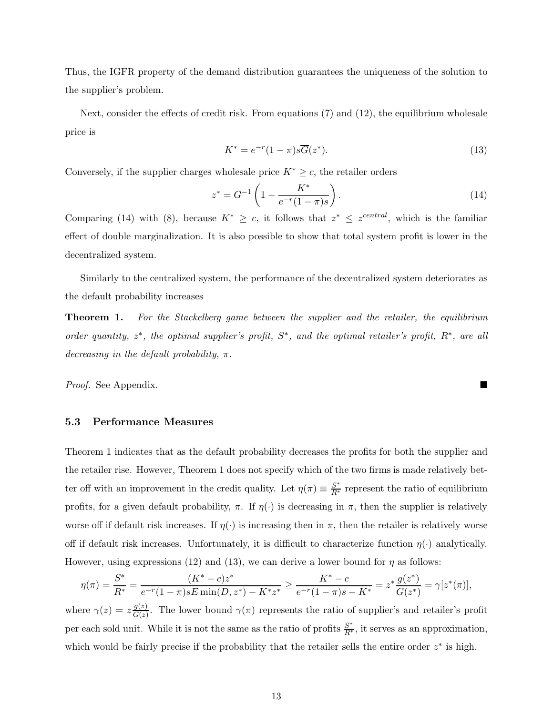Thus, the IGFR property of the demand distribution guarantees the uniqueness of the solution to the supplier's problem.

Next, consider the effects of credit risk. From equations (7) and (12), the equilibrium wholesale price is

$$
K^* = e^{-r}(1-\pi)s\overline{G}(z^*).
$$
\n(13)

Conversely, if the supplier charges wholesale price  $K^* \geq c$ , the retailer orders

$$
z^* = G^{-1} \left( 1 - \frac{K^*}{e^{-r}(1-\pi)s} \right). \tag{14}
$$

Comparing (14) with (8), because  $K^* \geq c$ , it follows that  $z^* \leq z^{central}$ , which is the familiar effect of double marginalization. It is also possible to show that total system profit is lower in the decentralized system.

Similarly to the centralized system, the performance of the decentralized system deteriorates as the default probability increases

**Theorem 1.** *For the Stackelberg game between the supplier and the retailer, the equilibrium order quantity, z*∗*, the optimal supplier's profit, S*∗*, and the optimal retailer's profit, R*∗*, are all decreasing in the default probability, π.*

*Proof.* See Appendix.

## **5.3 Performance Measures**

Theorem 1 indicates that as the default probability decreases the profits for both the supplier and the retailer rise. However, Theorem 1 does not specify which of the two firms is made relatively better off with an improvement in the credit quality. Let  $\eta(\pi) \equiv \frac{S^*}{R^*}$  represent the ratio of equilibrium profits, for a given default probability,  $\pi$ . If  $\eta(\cdot)$  is decreasing in  $\pi$ , then the supplier is relatively worse off if default risk increases. If  $\eta(\cdot)$  is increasing then in  $\pi$ , then the retailer is relatively worse off if default risk increases. Unfortunately, it is difficult to characterize function  $\eta(\cdot)$  analytically. However, using expressions (12) and (13), we can derive a lower bound for  $\eta$  as follows:

$$
\eta(\pi) = \frac{S^*}{R^*} = \frac{(K^* - c)z^*}{e^{-r}(1 - \pi)sE\min(D, z^*) - K^*z^*} \ge \frac{K^* - c}{e^{-r}(1 - \pi)s - K^*} = z^* \frac{g(z^*)}{G(z^*)} = \gamma[z^*(\pi)],
$$

where  $\gamma(z) = z \frac{g(z)}{G(z)}$ . The lower bound  $\gamma(\pi)$  represents the ratio of supplier's and retailer's profit per each sold unit. While it is not the same as the ratio of profits  $\frac{S^*}{R^*}$ , it serves as an approximation, which would be fairly precise if the probability that the retailer sells the entire order *z*<sup>∗</sup> is high.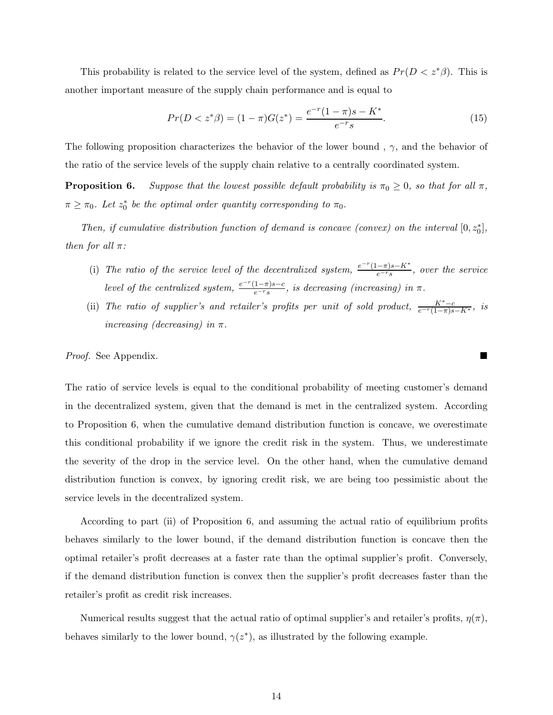This probability is related to the service level of the system, defined as  $Pr(D \lt z^*\beta)$ . This is another important measure of the supply chain performance and is equal to

$$
Pr(D < z^* \beta) = (1 - \pi)G(z^*) = \frac{e^{-r}(1 - \pi)s - K^*}{e^{-r}s}.\tag{15}
$$

The following proposition characterizes the behavior of the lower bound , *γ*, and the behavior of the ratio of the service levels of the supply chain relative to a centrally coordinated system.

**Proposition 6.** *Suppose that the lowest possible default probability is*  $\pi_0 \geq 0$ *, so that for all*  $\pi$ *,*  $\pi \geq \pi_0$ *. Let*  $z_0^*$  *be the optimal order quantity corresponding to*  $\pi_0$ *.* 

*Then, if cumulative distribution function of demand is concave (convex) on the interval*  $[0, z_0^*]$ , *then for all π:*

- (i) The ratio of the service level of the decentralized system,  $\frac{e^{-r}(1-\pi)s-K^*}{e^{-r}s}$ , over the service *level of the centralized system,*  $\frac{e^{-r}(1-\pi)s-c}{e^{-r}s}$ , *is decreasing (increasing) in*  $\pi$ .
- (ii) *The ratio of supplier's and retailer's profits per unit of sold product,*  $\frac{K^*-c}{e^{-r}(1-\pi)s-K^*}$ *, is increasing (decreasing) in π.*

## *Proof.* See Appendix. ■

The ratio of service levels is equal to the conditional probability of meeting customer's demand in the decentralized system, given that the demand is met in the centralized system. According to Proposition 6, when the cumulative demand distribution function is concave, we overestimate this conditional probability if we ignore the credit risk in the system. Thus, we underestimate the severity of the drop in the service level. On the other hand, when the cumulative demand distribution function is convex, by ignoring credit risk, we are being too pessimistic about the service levels in the decentralized system.

According to part (ii) of Proposition 6, and assuming the actual ratio of equilibrium profits behaves similarly to the lower bound, if the demand distribution function is concave then the optimal retailer's profit decreases at a faster rate than the optimal supplier's profit. Conversely, if the demand distribution function is convex then the supplier's profit decreases faster than the retailer's profit as credit risk increases.

Numerical results suggest that the actual ratio of optimal supplier's and retailer's profits,  $\eta(\pi)$ , behaves similarly to the lower bound,  $\gamma(z^*)$ , as illustrated by the following example.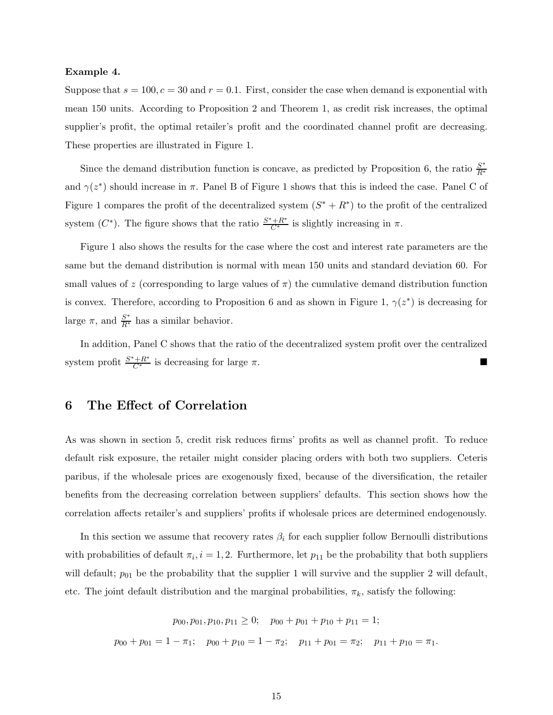#### **Example 4.**

Suppose that  $s = 100$ ,  $c = 30$  and  $r = 0.1$ . First, consider the case when demand is exponential with mean 150 units. According to Proposition 2 and Theorem 1, as credit risk increases, the optimal supplier's profit, the optimal retailer's profit and the coordinated channel profit are decreasing. These properties are illustrated in Figure 1.

Since the demand distribution function is concave, as predicted by Proposition 6, the ratio  $\frac{S^*}{R^*}$ and  $\gamma(z^*)$  should increase in  $\pi$ . Panel B of Figure 1 shows that this is indeed the case. Panel C of Figure 1 compares the profit of the decentralized system  $(S^* + R^*)$  to the profit of the centralized system  $(C^*)$ . The figure shows that the ratio  $\frac{S^*+R^*}{C^*}$  is slightly increasing in  $\pi$ .

Figure 1 also shows the results for the case where the cost and interest rate parameters are the same but the demand distribution is normal with mean 150 units and standard deviation 60. For small values of *z* (corresponding to large values of  $\pi$ ) the cumulative demand distribution function is convex. Therefore, according to Proposition 6 and as shown in Figure 1,  $\gamma(z^*)$  is decreasing for large  $\pi$ , and  $\frac{S^*}{R^*}$  has a similar behavior.

In addition, Panel C shows that the ratio of the decentralized system profit over the centralized system profit  $\frac{S^*+R^*}{C^*}$  is decreasing for large  $\pi$ .

## **6 The Effect of Correlation**

As was shown in section 5, credit risk reduces firms' profits as well as channel profit. To reduce default risk exposure, the retailer might consider placing orders with both two suppliers. Ceteris paribus, if the wholesale prices are exogenously fixed, because of the diversification, the retailer benefits from the decreasing correlation between suppliers' defaults. This section shows how the correlation affects retailer's and suppliers' profits if wholesale prices are determined endogenously.

In this section we assume that recovery rates  $\beta_i$  for each supplier follow Bernoulli distributions with probabilities of default  $\pi_i$ ,  $i = 1, 2$ . Furthermore, let  $p_{11}$  be the probability that both suppliers will default;  $p_{01}$  be the probability that the supplier 1 will survive and the supplier 2 will default, etc. The joint default distribution and the marginal probabilities,  $\pi_k$ , satisfy the following:

> $p_{00}, p_{01}, p_{10}, p_{11} \geq 0$ ;  $p_{00} + p_{01} + p_{10} + p_{11} = 1$ ;  $p_{00} + p_{01} = 1 - \pi_1$ ;  $p_{00} + p_{10} = 1 - \pi_2$ ;  $p_{11} + p_{01} = \pi_2$ ;  $p_{11} + p_{10} = \pi_1$ .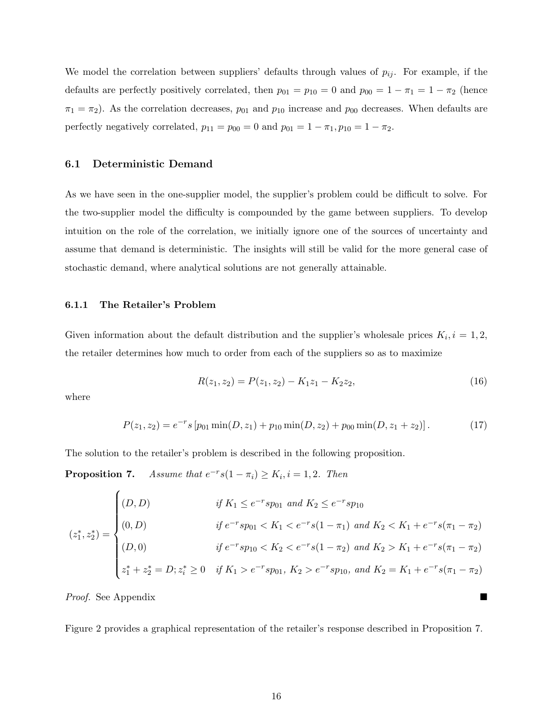We model the correlation between suppliers' defaults through values of  $p_{ij}$ . For example, if the defaults are perfectly positively correlated, then  $p_{01} = p_{10} = 0$  and  $p_{00} = 1 - \pi_1 = 1 - \pi_2$  (hence  $\pi_1 = \pi_2$ ). As the correlation decreases,  $p_{01}$  and  $p_{10}$  increase and  $p_{00}$  decreases. When defaults are perfectly negatively correlated,  $p_{11} = p_{00} = 0$  and  $p_{01} = 1 - \pi_1, p_{10} = 1 - \pi_2$ .

## **6.1 Deterministic Demand**

As we have seen in the one-supplier model, the supplier's problem could be difficult to solve. For the two-supplier model the difficulty is compounded by the game between suppliers. To develop intuition on the role of the correlation, we initially ignore one of the sources of uncertainty and assume that demand is deterministic. The insights will still be valid for the more general case of stochastic demand, where analytical solutions are not generally attainable.

#### **6.1.1 The Retailer's Problem**

Given information about the default distribution and the supplier's wholesale prices  $K_i$ ,  $i = 1, 2$ , the retailer determines how much to order from each of the suppliers so as to maximize

$$
R(z_1, z_2) = P(z_1, z_2) - K_1 z_1 - K_2 z_2, \tag{16}
$$

where

$$
P(z_1, z_2) = e^{-r} s [p_{01} \min(D, z_1) + p_{10} \min(D, z_2) + p_{00} \min(D, z_1 + z_2)].
$$
 (17)

The solution to the retailer's problem is described in the following proposition.

**Proposition 7.** *Assume that*  $e^{-r}s(1 - \pi_i) \ge K_i, i = 1, 2$ *. Then* 

$$
(z_1^*, z_2^*) = \begin{cases} (D, D) & \text{if } K_1 \le e^{-r} s p_{01} \text{ and } K_2 \le e^{-r} s p_{10} \\ (0, D) & \text{if } e^{-r} s p_{01} < K_1 < e^{-r} s (1 - \pi_1) \text{ and } K_2 < K_1 + e^{-r} s (\pi_1 - \pi_2) \\ (D, 0) & \text{if } e^{-r} s p_{10} < K_2 < e^{-r} s (1 - \pi_2) \text{ and } K_2 > K_1 + e^{-r} s (\pi_1 - \pi_2) \\ z_1^* + z_2^* = D; z_i^* \ge 0 & \text{if } K_1 > e^{-r} s p_{01}, K_2 > e^{-r} s p_{10}, \text{ and } K_2 = K_1 + e^{-r} s (\pi_1 - \pi_2) \end{cases}
$$

*Proof.* See Appendix

Figure 2 provides a graphical representation of the retailer's response described in Proposition 7.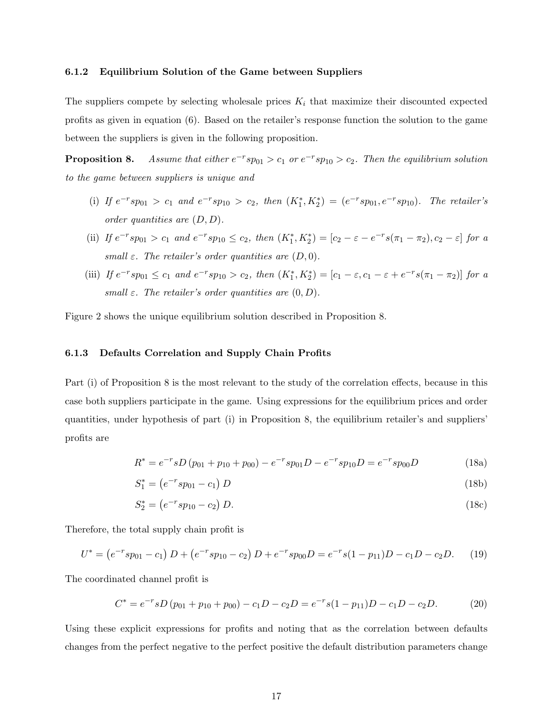#### **6.1.2 Equilibrium Solution of the Game between Suppliers**

The suppliers compete by selecting wholesale prices  $K_i$  that maximize their discounted expected profits as given in equation (6). Based on the retailer's response function the solution to the game between the suppliers is given in the following proposition.

**Proposition 8.** *Assume that either*  $e^{-r} s p_{01} > c_1$  *or*  $e^{-r} s p_{10} > c_2$ *. Then the equilibrium solution to the game between suppliers is unique and*

- (i) If  $e^{-r} s p_{01} > c_1$  and  $e^{-r} s p_{10} > c_2$ , then  $(K_1^*, K_2^*) = (e^{-r} s p_{01}, e^{-r} s p_{10})$ . The retailer's *order quantities are* (*D,D*)*.*
- (ii) If  $e^{-r} s p_{01} > c_1$  and  $e^{-r} s p_{10} \le c_2$ , then  $(K_1^*, K_2^*) = [c_2 \varepsilon e^{-r} s (\pi_1 \pi_2), c_2 \varepsilon]$  for a *small*  $\varepsilon$ *. The retailer's order quantities are*  $(D, 0)$ *.*
- (iii) If  $e^{-r} s p_{01} \le c_1$  and  $e^{-r} s p_{10} > c_2$ , then  $(K_1^*, K_2^*) = [c_1 \varepsilon, c_1 \varepsilon + e^{-r} s (\pi_1 \pi_2)]$  for a *small*  $\varepsilon$ *. The retailer's order quantities are*  $(0, D)$ *.*

Figure 2 shows the unique equilibrium solution described in Proposition 8.

## **6.1.3 Defaults Correlation and Supply Chain Profits**

Part (i) of Proposition 8 is the most relevant to the study of the correlation effects, because in this case both suppliers participate in the game. Using expressions for the equilibrium prices and order quantities, under hypothesis of part (i) in Proposition 8, the equilibrium retailer's and suppliers' profits are

$$
R^* = e^{-r} s D (p_{01} + p_{10} + p_{00}) - e^{-r} s p_{01} D - e^{-r} s p_{10} D = e^{-r} s p_{00} D \qquad (18a)
$$

$$
S_1^* = (e^{-r} s p_{01} - c_1) D \tag{18b}
$$

$$
S_2^* = (e^{-r} s p_{10} - c_2) D. \tag{18c}
$$

Therefore, the total supply chain profit is

$$
U^* = (e^{-r}sp_{01} - c_1) D + (e^{-r}sp_{10} - c_2) D + e^{-r}sp_{00} D = e^{-r}s(1 - p_{11})D - c_1D - c_2D.
$$
 (19)

The coordinated channel profit is

$$
C^* = e^{-r} s D (p_{01} + p_{10} + p_{00}) - c_1 D - c_2 D = e^{-r} s (1 - p_{11}) D - c_1 D - c_2 D.
$$
 (20)

Using these explicit expressions for profits and noting that as the correlation between defaults changes from the perfect negative to the perfect positive the default distribution parameters change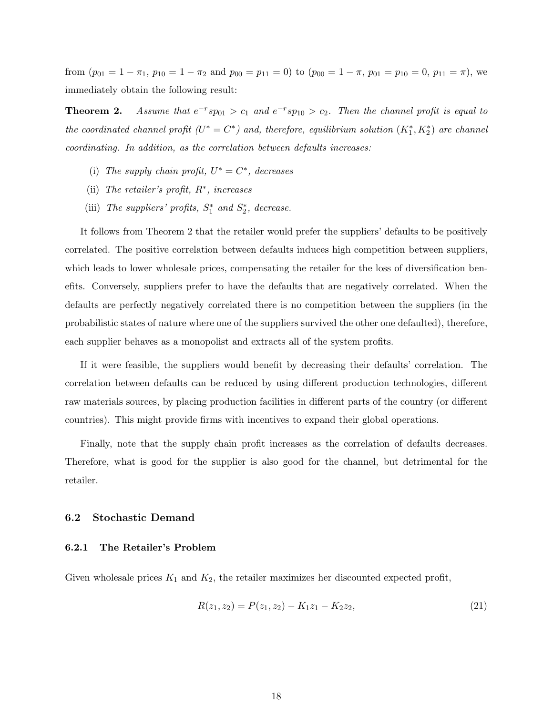from  $(p_{01} = 1 - \pi_1, p_{10} = 1 - \pi_2$  and  $p_{00} = p_{11} = 0$ ) to  $(p_{00} = 1 - \pi, p_{01} = p_{10} = 0, p_{11} = \pi)$ , we immediately obtain the following result:

**Theorem 2.** *Assume that*  $e^{-r} s p_{01} > c_1$  *and*  $e^{-r} s p_{10} > c_2$ *. Then the channel profit is equal to the coordinated channel profit*  $(U^* = C^*)$  *and, therefore, equilibrium solution*  $(K_1^*, K_2^*)$  *are channel coordinating. In addition, as the correlation between defaults increases:*

- (i) The supply chain profit,  $U^* = C^*$ , decreases
- (ii) *The retailer's profit, R*∗*, increases*
- (iii) *The suppliers' profits,*  $S_1^*$  *and*  $S_2^*$ *, decrease.*

It follows from Theorem 2 that the retailer would prefer the suppliers' defaults to be positively correlated. The positive correlation between defaults induces high competition between suppliers, which leads to lower wholesale prices, compensating the retailer for the loss of diversification benefits. Conversely, suppliers prefer to have the defaults that are negatively correlated. When the defaults are perfectly negatively correlated there is no competition between the suppliers (in the probabilistic states of nature where one of the suppliers survived the other one defaulted), therefore, each supplier behaves as a monopolist and extracts all of the system profits.

If it were feasible, the suppliers would benefit by decreasing their defaults' correlation. The correlation between defaults can be reduced by using different production technologies, different raw materials sources, by placing production facilities in different parts of the country (or different countries). This might provide firms with incentives to expand their global operations.

Finally, note that the supply chain profit increases as the correlation of defaults decreases. Therefore, what is good for the supplier is also good for the channel, but detrimental for the retailer.

#### **6.2 Stochastic Demand**

#### **6.2.1 The Retailer's Problem**

Given wholesale prices  $K_1$  and  $K_2$ , the retailer maximizes her discounted expected profit,

$$
R(z_1, z_2) = P(z_1, z_2) - K_1 z_1 - K_2 z_2, \tag{21}
$$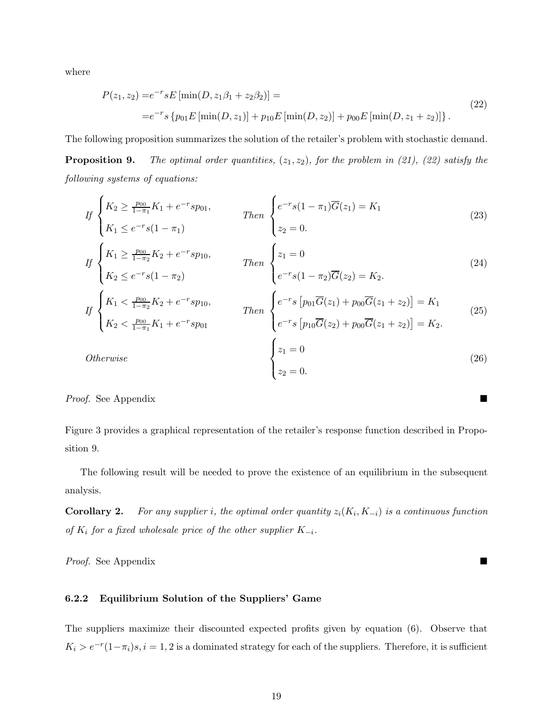where

$$
P(z_1, z_2) = e^{-r} s E \left[ \min(D, z_1 \beta_1 + z_2 \beta_2) \right] =
$$
  
= 
$$
e^{-r} s \left\{ p_{01} E \left[ \min(D, z_1) \right] + p_{10} E \left[ \min(D, z_2) \right] + p_{00} E \left[ \min(D, z_1 + z_2) \right] \right\}.
$$
 (22)

The following proposition summarizes the solution of the retailer's problem with stochastic demand. **Proposition 9.** *The optimal order quantities,* (*z*1*, z*2)*, for the problem in (21), (22) satisfy the*

*following systems of equations:*

$$
If \begin{cases} K_2 \ge \frac{p_{00}}{1-\pi_1} K_1 + e^{-r} s p_{01}, \\ K_1 \le e^{-r} s (1-\pi_1) \end{cases} \qquad Then \begin{cases} e^{-r} s (1-\pi_1) \overline{G}(z_1) = K_1 \\ z_2 = 0. \end{cases} \tag{23}
$$

$$
If \begin{cases} K_1 \ge \frac{p_{00}}{1 - \pi_2} K_2 + e^{-r} s p_{10}, \\ K_2 \le e^{-r} s (1 - \pi_2) \end{cases} \qquad Then \begin{cases} z_1 = 0 \\ e^{-r} s (1 - \pi_2) \overline{G}(z_2) = K_2. \end{cases} \tag{24}
$$

$$
If \begin{cases} K_1 < \frac{p_{00}}{1 - \pi_2} K_2 + e^{-r} s p_{10}, \\ K_2 < \frac{p_{00}}{1 - \pi_1} K_1 + e^{-r} s p_{01} \end{cases} \qquad \text{Then } \begin{cases} e^{-r} s \left[ p_{01} \overline{G}(z_1) + p_{00} \overline{G}(z_1 + z_2) \right] = K_1 \\ e^{-r} s \left[ p_{10} \overline{G}(z_2) + p_{00} \overline{G}(z_1 + z_2) \right] = K_2. \end{cases} \tag{25}
$$
\n
$$
Otherwise \qquad \begin{cases} z_1 = 0 \\ z_2 = 0. \end{cases} \tag{26}
$$

*Proof.* See Appendix

Figure 3 provides a graphical representation of the retailer's response function described in Proposition 9.

The following result will be needed to prove the existence of an equilibrium in the subsequent analysis.

**Corollary 2.** *For any supplier i, the optimal order quantity*  $z_i(K_i, K_{-i})$  *is a continuous function of K*<sup>i</sup> *for a fixed wholesale price of the other supplier K*−i*.*

*Proof.* See Appendix

## **6.2.2 Equilibrium Solution of the Suppliers' Game**

The suppliers maximize their discounted expected profits given by equation (6). Observe that  $K_i > e^{-r}(1-\pi_i)s, i = 1, 2$  is a dominated strategy for each of the suppliers. Therefore, it is sufficient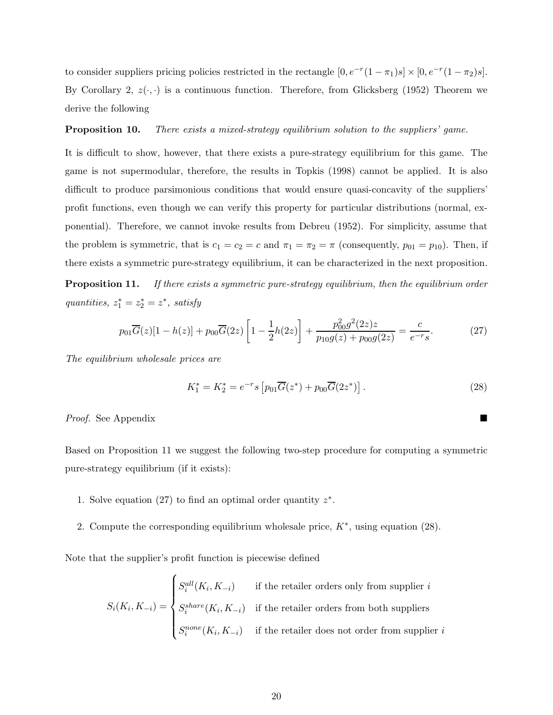to consider suppliers pricing policies restricted in the rectangle  $[0, e^{-r}(1 - \pi_1)s] \times [0, e^{-r}(1 - \pi_2)s]$ . By Corollary 2,  $z(\cdot, \cdot)$  is a continuous function. Therefore, from Glicksberg (1952) Theorem we derive the following

#### **Proposition 10.** *There exists a mixed-strategy equilibrium solution to the suppliers' game.*

It is difficult to show, however, that there exists a pure-strategy equilibrium for this game. The game is not supermodular, therefore, the results in Topkis (1998) cannot be applied. It is also difficult to produce parsimonious conditions that would ensure quasi-concavity of the suppliers' profit functions, even though we can verify this property for particular distributions (normal, exponential). Therefore, we cannot invoke results from Debreu (1952). For simplicity, assume that the problem is symmetric, that is  $c_1 = c_2 = c$  and  $\pi_1 = \pi_2 = \pi$  (consequently,  $p_{01} = p_{10}$ ). Then, if there exists a symmetric pure-strategy equilibrium, it can be characterized in the next proposition.

**Proposition 11.** *If there exists a symmetric pure-strategy equilibrium, then the equilibrium order*  $quantities, z_1^* = z_2^* = z^*$ , satisfy

$$
p_{01}\overline{G}(z)[1-h(z)] + p_{00}\overline{G}(2z)\left[1-\frac{1}{2}h(2z)\right] + \frac{p_{00}^2 g^2(2z)z}{p_{10}g(z) + p_{00}g(2z)} = \frac{c}{e^{-r}s}.
$$
 (27)

*The equilibrium wholesale prices are*

$$
K_1^* = K_2^* = e^{-r} s \left[ p_{01} \overline{G}(z^*) + p_{00} \overline{G}(2z^*) \right]. \tag{28}
$$

*Proof.* See Appendix

Based on Proposition 11 we suggest the following two-step procedure for computing a symmetric pure-strategy equilibrium (if it exists):

- 1. Solve equation (27) to find an optimal order quantity *z*∗.
- 2. Compute the corresponding equilibrium wholesale price, *K*∗, using equation (28).

Note that the supplier's profit function is piecewise defined

 $S_i(K_i, K_{-i}) =$  $\sqrt{ }$  $\begin{array}{c} \end{array}$  $\overline{\mathcal{L}}$  $S_i^{all}(K_i, K_{-i})$  if the retailer orders only from supplier *i*  $S_i^{share}(K_i, K_{-i})$  if the retailer orders from both suppliers  $S_i^{none}(K_i, K_{-i})$  if the retailer does not order from supplier *i*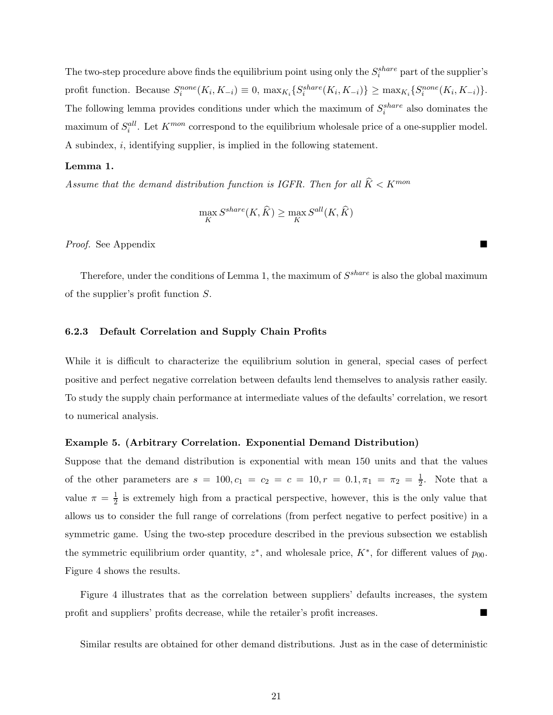The two-step procedure above finds the equilibrium point using only the  $S_i^{share}$  part of the supplier's profit function. Because  $S_i^{none}(K_i, K_{-i}) \equiv 0$ ,  $\max_{K_i} \{ S_i^{share}(K_i, K_{-i}) \} \geq \max_{K_i} \{ S_i^{none}(K_i, K_{-i}) \}.$ The following lemma provides conditions under which the maximum of  $S_i^{share}$  also dominates the maximum of  $S_i^{all}$ . Let  $K^{mon}$  correspond to the equilibrium wholesale price of a one-supplier model. A subindex, *i*, identifying supplier, is implied in the following statement.

### **Lemma 1.**

*Assume that the demand distribution function is IGFR. Then for all*  $\hat{K} < K^{mon}$ 

$$
\max_{K} S^{share}(K, \widehat{K}) \ge \max_{K} S^{all}(K, \widehat{K})
$$

*Proof.* See Appendix

Therefore, under the conditions of Lemma 1, the maximum of  $S^{share}$  is also the global maximum of the supplier's profit function *S*.

#### **6.2.3 Default Correlation and Supply Chain Profits**

While it is difficult to characterize the equilibrium solution in general, special cases of perfect positive and perfect negative correlation between defaults lend themselves to analysis rather easily. To study the supply chain performance at intermediate values of the defaults' correlation, we resort to numerical analysis.

#### **Example 5. (Arbitrary Correlation. Exponential Demand Distribution)**

Suppose that the demand distribution is exponential with mean 150 units and that the values of the other parameters are  $s = 100, c_1 = c_2 = c = 10, r = 0.1, \pi_1 = \pi_2 = \frac{1}{2}$ . Note that a value  $\pi = \frac{1}{2}$  is extremely high from a practical perspective, however, this is the only value that allows us to consider the full range of correlations (from perfect negative to perfect positive) in a symmetric game. Using the two-step procedure described in the previous subsection we establish the symmetric equilibrium order quantity,  $z^*$ , and wholesale price,  $K^*$ , for different values of  $p_{00}$ . Figure 4 shows the results.

Figure 4 illustrates that as the correlation between suppliers' defaults increases, the system profit and suppliers' profits decrease, while the retailer's profit increases.

Similar results are obtained for other demand distributions. Just as in the case of deterministic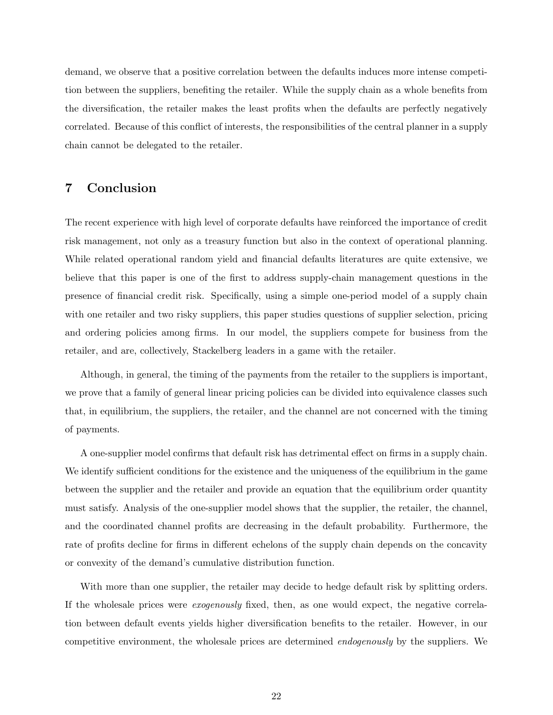demand, we observe that a positive correlation between the defaults induces more intense competition between the suppliers, benefiting the retailer. While the supply chain as a whole benefits from the diversification, the retailer makes the least profits when the defaults are perfectly negatively correlated. Because of this conflict of interests, the responsibilities of the central planner in a supply chain cannot be delegated to the retailer.

## **7 Conclusion**

The recent experience with high level of corporate defaults have reinforced the importance of credit risk management, not only as a treasury function but also in the context of operational planning. While related operational random yield and financial defaults literatures are quite extensive, we believe that this paper is one of the first to address supply-chain management questions in the presence of financial credit risk. Specifically, using a simple one-period model of a supply chain with one retailer and two risky suppliers, this paper studies questions of supplier selection, pricing and ordering policies among firms. In our model, the suppliers compete for business from the retailer, and are, collectively, Stackelberg leaders in a game with the retailer.

Although, in general, the timing of the payments from the retailer to the suppliers is important, we prove that a family of general linear pricing policies can be divided into equivalence classes such that, in equilibrium, the suppliers, the retailer, and the channel are not concerned with the timing of payments.

A one-supplier model confirms that default risk has detrimental effect on firms in a supply chain. We identify sufficient conditions for the existence and the uniqueness of the equilibrium in the game between the supplier and the retailer and provide an equation that the equilibrium order quantity must satisfy. Analysis of the one-supplier model shows that the supplier, the retailer, the channel, and the coordinated channel profits are decreasing in the default probability. Furthermore, the rate of profits decline for firms in different echelons of the supply chain depends on the concavity or convexity of the demand's cumulative distribution function.

With more than one supplier, the retailer may decide to hedge default risk by splitting orders. If the wholesale prices were *exogenously* fixed, then, as one would expect, the negative correlation between default events yields higher diversification benefits to the retailer. However, in our competitive environment, the wholesale prices are determined *endogenously* by the suppliers. We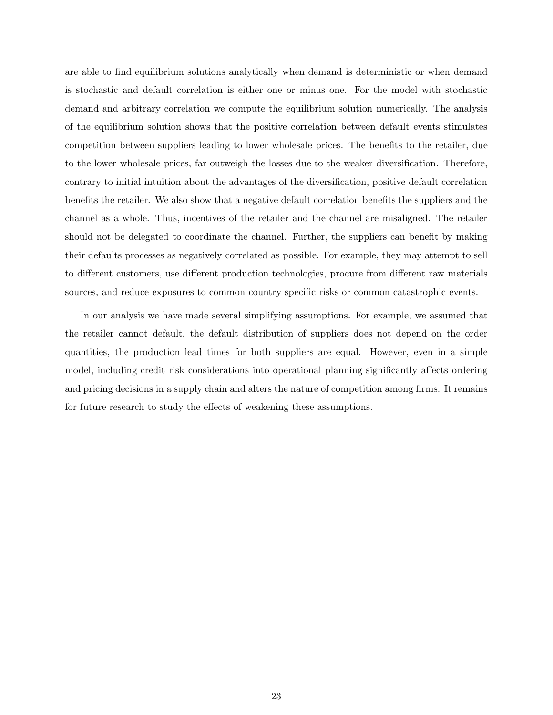are able to find equilibrium solutions analytically when demand is deterministic or when demand is stochastic and default correlation is either one or minus one. For the model with stochastic demand and arbitrary correlation we compute the equilibrium solution numerically. The analysis of the equilibrium solution shows that the positive correlation between default events stimulates competition between suppliers leading to lower wholesale prices. The benefits to the retailer, due to the lower wholesale prices, far outweigh the losses due to the weaker diversification. Therefore, contrary to initial intuition about the advantages of the diversification, positive default correlation benefits the retailer. We also show that a negative default correlation benefits the suppliers and the channel as a whole. Thus, incentives of the retailer and the channel are misaligned. The retailer should not be delegated to coordinate the channel. Further, the suppliers can benefit by making their defaults processes as negatively correlated as possible. For example, they may attempt to sell to different customers, use different production technologies, procure from different raw materials sources, and reduce exposures to common country specific risks or common catastrophic events.

In our analysis we have made several simplifying assumptions. For example, we assumed that the retailer cannot default, the default distribution of suppliers does not depend on the order quantities, the production lead times for both suppliers are equal. However, even in a simple model, including credit risk considerations into operational planning significantly affects ordering and pricing decisions in a supply chain and alters the nature of competition among firms. It remains for future research to study the effects of weakening these assumptions.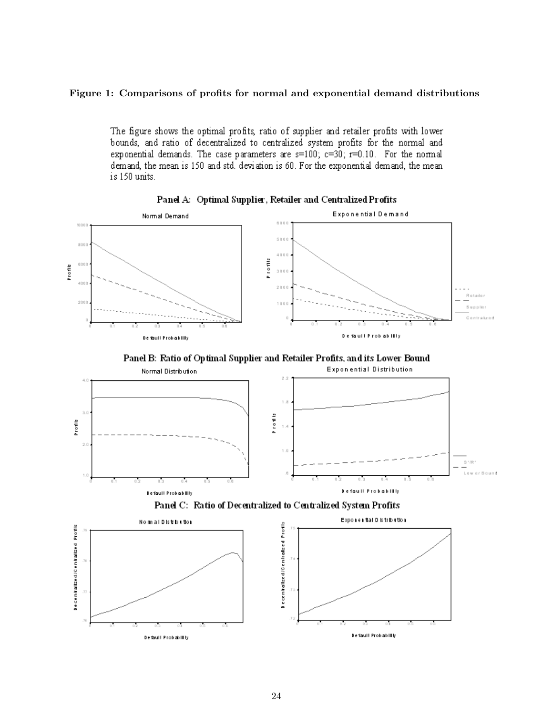## **Figure 1: Comparisons of profits for normal and exponential demand distributions**

The figure shows the optimal profits, ratio of supplier and retailer profits with lower bounds, and ratio of decentralized to centralized system profits for the normal and exponential demands. The case parameters are  $s=100$ ;  $c=30$ ;  $r=0.10$ . For the normal demand, the mean is 150 and std. deviation is 60. For the exponential demand, the mean is 150 units.



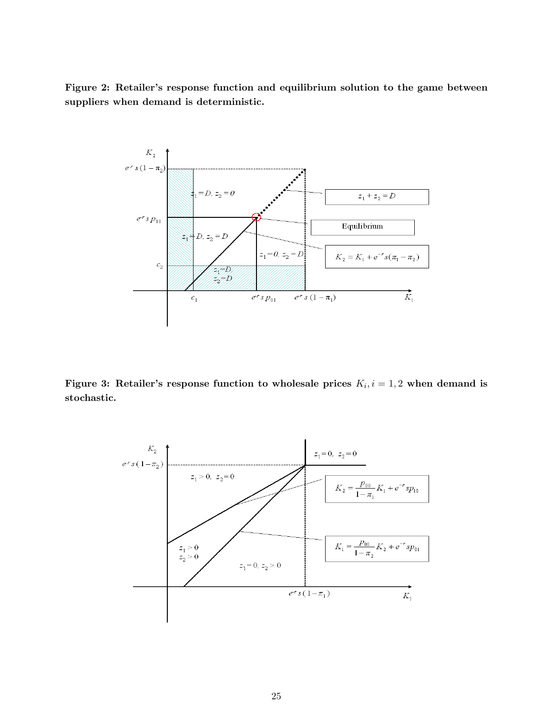**Figure 2: Retailer's response function and equilibrium solution to the game between suppliers when demand is deterministic.**



**Figure 3: Retailer's response function to wholesale prices**  $K_i$ ,  $i = 1, 2$  when demand is **stochastic.**

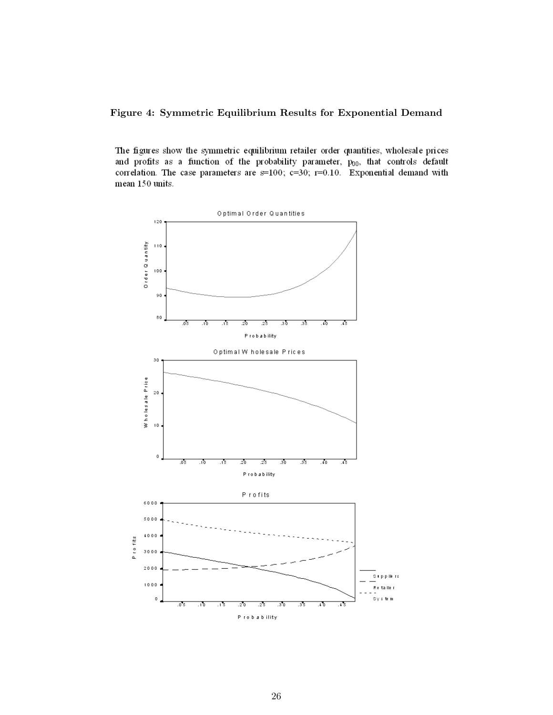**Figure 4: Symmetric Equilibrium Results for Exponential Demand**

The figures show the symmetric equilibrium retailer order quantities, wholesale prices and profits as a function of the probability parameter,  $p_{00}$ , that controls default correlation. The case parameters are  $s=100$ ;  $c=30$ ;  $r=0.10$ . Exponential demand with mean 150 units.

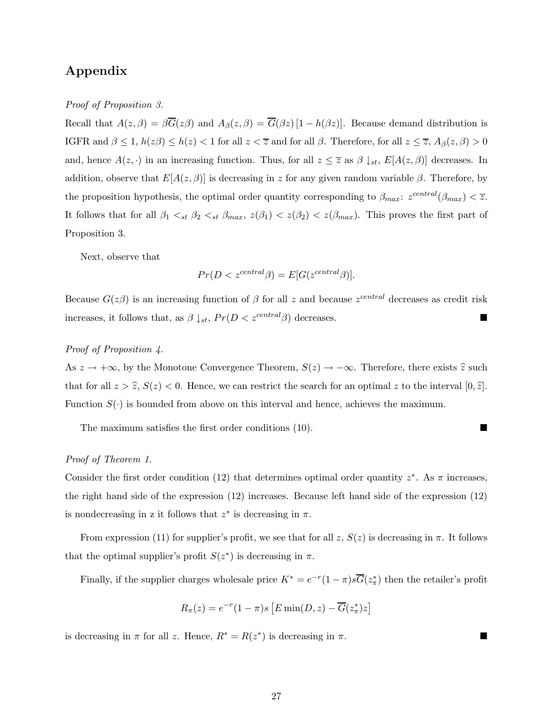# **Appendix**

*Proof of Proposition 3.*

Recall that  $A(z, \beta) = \beta \overline{G}(z\beta)$  and  $A_{\beta}(z, \beta) = \overline{G}(\beta z) [1 - h(\beta z)].$  Because demand distribution is IGFR and  $\beta \leq 1$ ,  $h(z\beta) \leq h(z) < 1$  for all  $z < \overline{z}$  and for all  $\beta$ . Therefore, for all  $z \leq \overline{z}$ ,  $A_{\beta}(z, \beta) > 0$ and, hence  $A(z, \cdot)$  in an increasing function. Thus, for all  $z \leq \overline{z}$  as  $\beta \downarrow_{st}$ ,  $E[A(z, \beta)]$  decreases. In addition, observe that  $E[A(z, \beta)]$  is decreasing in *z* for any given random variable  $\beta$ . Therefore, by the proposition hypothesis, the optimal order quantity corresponding to  $\beta_{max}: z^{central}(\beta_{max}) < \overline{z}$ . It follows that for all  $\beta_1 <_{st} \beta_2 <_{st} \beta_{max}$ ,  $z(\beta_1) < z(\beta_2) < z(\beta_{max})$ . This proves the first part of Proposition 3.

Next, observe that

$$
Pr(D < z^{central} \beta) = E[G(z^{central} \beta)].
$$

Because  $G(z\beta)$  is an increasing function of  $\beta$  for all *z* and because  $z^{central}$  decreases as credit risk increases, it follows that, as  $\beta \downarrow_{st}$ ,  $Pr(D < z^{central}\beta)$  decreases.

## *Proof of Proposition 4.*

As  $z \to +\infty$ , by the Monotone Convergence Theorem,  $S(z) \to -\infty$ . Therefore, there exists  $\hat{z}$  such that for all  $z > \hat{z}$ ,  $S(z) < 0$ . Hence, we can restrict the search for an optimal *z* to the interval  $[0, \hat{z}]$ . Function  $S(\cdot)$  is bounded from above on this interval and hence, achieves the maximum.

The maximum satisfies the first order conditions (10).

### *Proof of Theorem 1.*

Consider the first order condition (12) that determines optimal order quantity  $z^*$ . As  $\pi$  increases, the right hand side of the expression (12) increases. Because left hand side of the expression (12) is nondecreasing in z it follows that  $z^*$  is decreasing in  $\pi$ .

From expression (11) for supplier's profit, we see that for all  $z$ ,  $S(z)$  is decreasing in  $\pi$ . It follows that the optimal supplier's profit  $S(z^*)$  is decreasing in  $\pi$ .

Finally, if the supplier charges wholesale price  $K^* = e^{-r}(1-\pi)s\overline{G}(z^*_{\pi})$  then the retailer's profit

$$
R_{\pi}(z) = e^{-r}(1-\pi)s \left[E \min(D, z) - \overline{G}(z_{\pi}^{*})z\right]
$$

is decreasing in  $\pi$  for all *z*. Hence,  $R^* = R(z^*)$  is decreasing in  $\pi$ .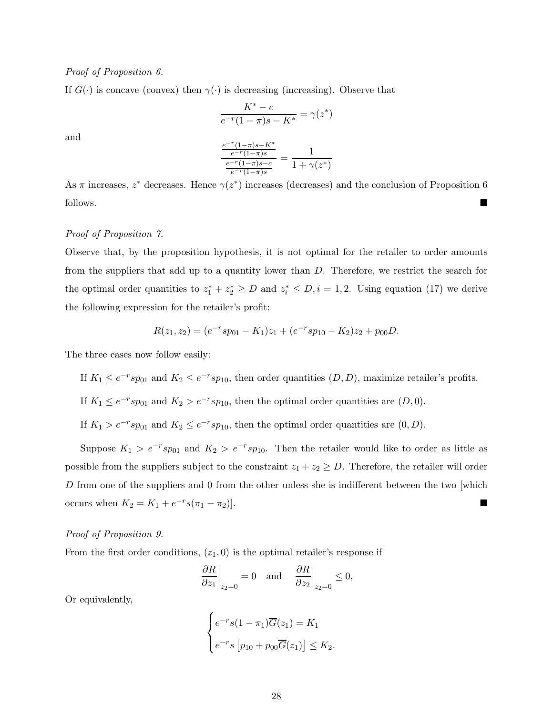#### *Proof of Proposition 6.*

If  $G(\cdot)$  is concave (convex) then  $\gamma(\cdot)$  is decreasing (increasing). Observe that

$$
\frac{K^* - c}{e^{-r}(1 - \pi)s - K^*} = \gamma(z^*)
$$

and  

$$
\frac{e^{-r}(1-\pi)s - K^*}{e^{-r}(1-\pi)s}}{e^{-r}(1-\pi)s - c \over e^{-r}(1-\pi)s} = \frac{1}{1 + \gamma(z^*)}
$$

As  $\pi$  increases,  $z^*$  decreases. Hence  $\gamma(z^*)$  increases (decreases) and the conclusion of Proposition 6 follows.

### *Proof of Proposition 7.*

Observe that, by the proposition hypothesis, it is not optimal for the retailer to order amounts from the suppliers that add up to a quantity lower than *D*. Therefore, we restrict the search for the optimal order quantities to  $z_1^* + z_2^* \ge D$  and  $z_i^* \le D, i = 1, 2$ . Using equation (17) we derive the following expression for the retailer's profit:

$$
R(z_1, z_2) = (e^{-r} s p_{01} - K_1) z_1 + (e^{-r} s p_{10} - K_2) z_2 + p_{00} D.
$$

The three cases now follow easily:

If  $K_1 \le e^{-r} s p_{01}$  and  $K_2 \le e^{-r} s p_{10}$ , then order quantities  $(D, D)$ , maximize retailer's profits.

If  $K_1 \le e^{-r} s p_{01}$  and  $K_2 > e^{-r} s p_{10}$ , then the optimal order quantities are  $(D, 0)$ .

If  $K_1 > e^{-r} s p_{01}$  and  $K_2 \le e^{-r} s p_{10}$ , then the optimal order quantities are  $(0, D)$ .

Suppose  $K_1 > e^{-r} s p_{01}$  and  $K_2 > e^{-r} s p_{10}$ . Then the retailer would like to order as little as possible from the suppliers subject to the constraint  $z_1 + z_2 \ge D$ . Therefore, the retailer will order *D* from one of the suppliers and 0 from the other unless she is indifferent between the two which occurs when  $K_2 = K_1 + e^{-r}s(\pi_1 - \pi_2)$ .

#### *Proof of Proposition 9.*

From the first order conditions,  $(z_1, 0)$  is the optimal retailer's response if

$$
\left.\frac{\partial R}{\partial z_1}\right|_{z_2=0}=0\quad\text{and}\quad\left.\frac{\partial R}{\partial z_2}\right|_{z_2=0}\leq0,
$$

Or equivalently,

$$
\begin{cases} e^{-r}s(1-\pi_1)\overline{G}(z_1) = K_1 \\ e^{-r}s[p_{10} + p_{00}\overline{G}(z_1)] \le K_2. \end{cases}
$$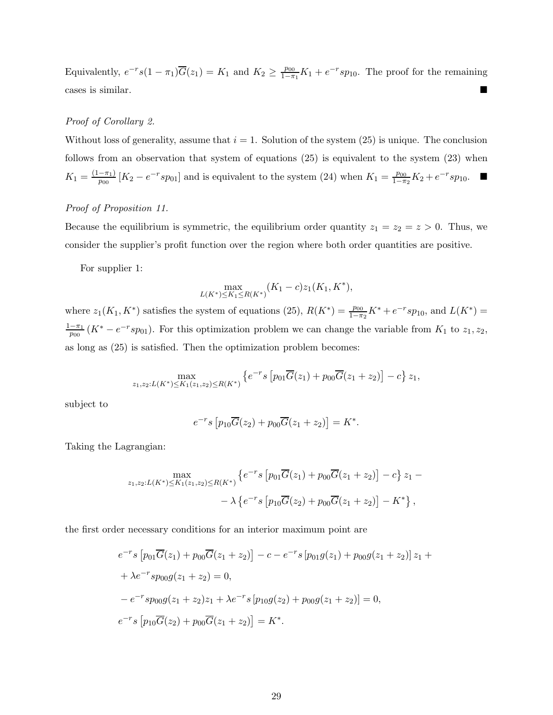Equivalently,  $e^{-r}s(1-\pi_1)\overline{G}(z_1) = K_1$  and  $K_2 \ge \frac{p_{00}}{1-\pi_1}K_1 + e^{-r}sp_{10}$ . The proof for the remaining cases is similar.

#### *Proof of Corollary 2.*

Without loss of generality, assume that  $i = 1$ . Solution of the system  $(25)$  is unique. The conclusion follows from an observation that system of equations (25) is equivalent to the system (23) when  $K_1 = \frac{(1-\pi_1)}{p_{00}} [K_2 - e^{-r} s p_{01}]$  and is equivalent to the system (24) when  $K_1 = \frac{p_{00}}{1-\pi_2} K_2 + e^{-r} s p_{10}$ .

## *Proof of Proposition 11.*

Because the equilibrium is symmetric, the equilibrium order quantity  $z_1 = z_2 = z > 0$ . Thus, we consider the supplier's profit function over the region where both order quantities are positive.

For supplier 1:

$$
\max_{L(K^*) \le K_1 \le R(K^*)} (K_1 - c) z_1(K_1, K^*),
$$

where  $z_1(K_1, K^*)$  satisfies the system of equations (25),  $R(K^*) = \frac{p_{00}}{1-\pi_2}K^* + e^{-r}sp_{10}$ , and  $L(K^*) =$  $\frac{1-\pi_1}{p_{00}}(K^* - e^{-r}sp_{01}).$  For this optimization problem we can change the variable from  $K_1$  to  $z_1, z_2$ , as long as (25) is satisfied. Then the optimization problem becomes:

$$
\max_{z_1,z_2:L(K^*)\leq K_1(z_1,z_2)\leq R(K^*)}\left\{e^{-r}s\left[p_{01}\overline{G}(z_1)+p_{00}\overline{G}(z_1+z_2)\right]-c\right\}z_1,
$$

subject to

$$
e^{-r}s [p_{10}\overline{G}(z_2) + p_{00}\overline{G}(z_1 + z_2)] = K^*.
$$

Taking the Lagrangian:

$$
\max_{z_1, z_2: L(K^*) \le K_1(z_1, z_2) \le R(K^*)} \left\{ e^{-r} s \left[ p_{01} \overline{G}(z_1) + p_{00} \overline{G}(z_1 + z_2) \right] - c \right\} z_1 - \right.
$$
  
-  $\lambda \left\{ e^{-r} s \left[ p_{10} \overline{G}(z_2) + p_{00} \overline{G}(z_1 + z_2) \right] - K^* \right\},$ 

the first order necessary conditions for an interior maximum point are

$$
e^{-r}s [p_{01}\overline{G}(z_1) + p_{00}\overline{G}(z_1 + z_2)] - c - e^{-r}s[p_{01}g(z_1) + p_{00}g(z_1 + z_2)]z_1 +
$$
  
+  $\lambda e^{-r}sp_{00}g(z_1 + z_2) = 0,$   
-  $e^{-r}sp_{00}g(z_1 + z_2)z_1 + \lambda e^{-r}s[p_{10}g(z_2) + p_{00}g(z_1 + z_2)] = 0,$   
 $e^{-r}s[p_{10}\overline{G}(z_2) + p_{00}\overline{G}(z_1 + z_2)] = K^*.$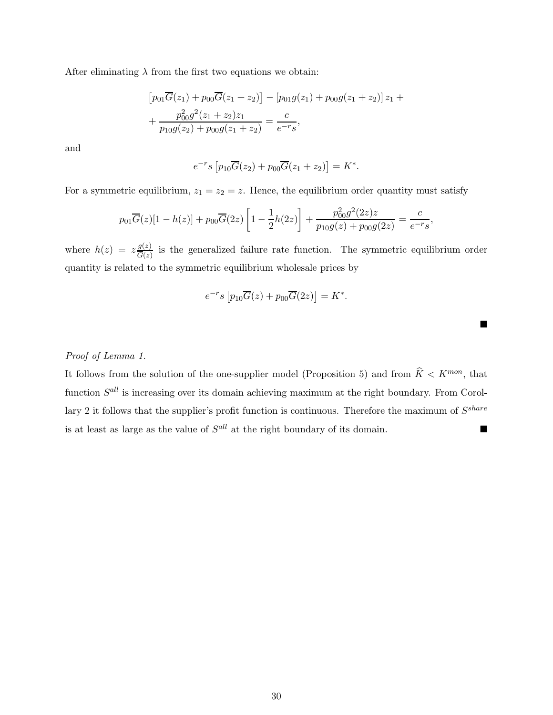After eliminating  $\lambda$  from the first two equations we obtain:

$$
[p_{01}\overline{G}(z_1) + p_{00}\overline{G}(z_1 + z_2)] - [p_{01}g(z_1) + p_{00}g(z_1 + z_2)]z_1 +
$$
  
+ 
$$
\frac{p_{00}^2g^2(z_1 + z_2)z_1}{p_{10}g(z_2) + p_{00}g(z_1 + z_2)} = \frac{c}{e^{-r}s},
$$

and

$$
e^{-r}s [p_{10}\overline{G}(z_2) + p_{00}\overline{G}(z_1 + z_2)] = K^*.
$$

For a symmetric equilibrium,  $z_1 = z_2 = z$ . Hence, the equilibrium order quantity must satisfy

$$
p_{01}\overline{G}(z)[1-h(z)] + p_{00}\overline{G}(2z)\left[1-\frac{1}{2}h(2z)\right] + \frac{p_{00}^2g^2(2z)z}{p_{10}g(z) + p_{00}g(2z)} = \frac{c}{e^{-r}s},
$$

where  $h(z) = z \frac{g(z)}{\overline{G}(z)}$  is the generalized failure rate function. The symmetric equilibrium order quantity is related to the symmetric equilibrium wholesale prices by

$$
e^{-r}s\left[p_{10}\overline{G}(z)+p_{00}\overline{G}(2z)\right] = K^*.
$$

п

## *Proof of Lemma 1.*

It follows from the solution of the one-supplier model (Proposition 5) and from  $\hat{K} < K^{mon}$ , that function  $S^{all}$  is increasing over its domain achieving maximum at the right boundary. From Corollary 2 it follows that the supplier's profit function is continuous. Therefore the maximum of  $S^{share}$ is at least as large as the value of  $S^{all}$  at the right boundary of its domain.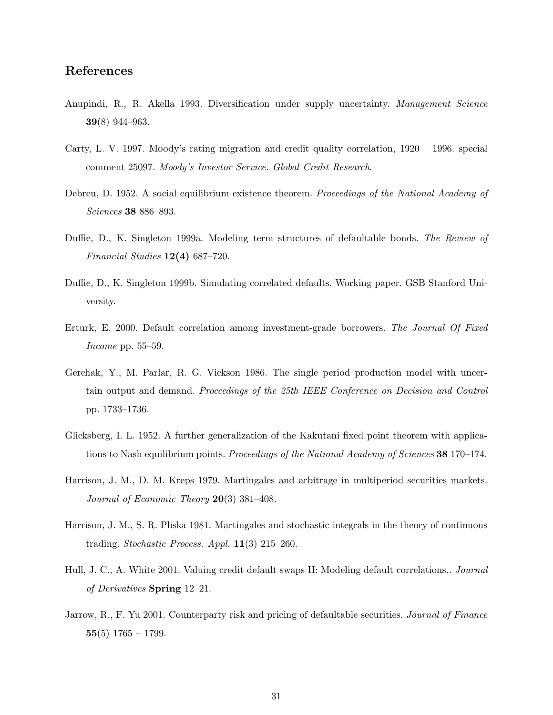# **References**

- Anupindi, R., R. Akella 1993. Diversification under supply uncertainty. *Management Science* **39**(8) 944–963.
- Carty, L. V. 1997. Moody's rating migration and credit quality correlation, 1920 1996. special comment 25097. *Moody's Investor Service. Global Credit Research*.
- Debreu, D. 1952. A social equilibrium existence theorem. *Proceedings of the National Academy of Sciences* **38** 886–893.
- Duffie, D., K. Singleton 1999a. Modeling term structures of defaultable bonds. *The Review of Financial Studies* **12(4)** 687–720.
- Duffie, D., K. Singleton 1999b. Simulating correlated defaults. Working paper. GSB Stanford University.
- Erturk, E. 2000. Default correlation among investment-grade borrowers. *The Journal Of Fixed Income* pp. 55–59.
- Gerchak, Y., M. Parlar, R. G. Vickson 1986. The single period production model with uncertain output and demand. *Proceedings of the 25th IEEE Conference on Decision and Control* pp. 1733–1736.
- Glicksberg, I. L. 1952. A further generalization of the Kakutani fixed point theorem with applications to Nash equilibrium points. *Proceedings of the National Academy of Sciences* **38** 170–174.
- Harrison, J. M., D. M. Kreps 1979. Martingales and arbitrage in multiperiod securities markets. *Journal of Economic Theory* **20**(3) 381–408.
- Harrison, J. M., S. R. Pliska 1981. Martingales and stochastic integrals in the theory of continuous trading. *Stochastic Process. Appl.* **11**(3) 215–260.
- Hull, J. C., A. White 2001. Valuing credit default swaps II: Modeling default correlations.. *Journal of Derivatives* **Spring** 12–21.
- Jarrow, R., F. Yu 2001. Counterparty risk and pricing of defaultable securities. *Journal of Finance* **55**(5) 1765 – 1799.